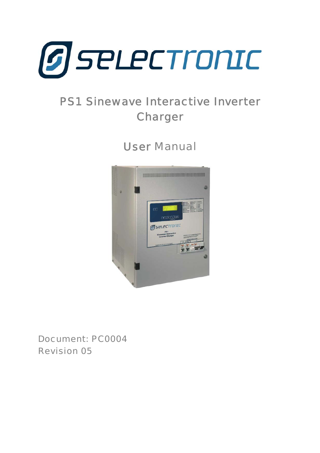<span id="page-0-0"></span>

# PS1 Sinewave Interactive Inverter Charger

User Manual



Document: PC0004 Revision 05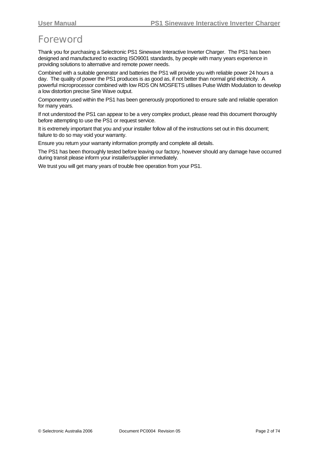# <span id="page-1-0"></span>**Foreword**

Thank you for purchasing a Selectronic PS1 Sinewave Interactive Inverter Charger. The PS1 has been designed and manufactured to exacting ISO9001 standards, by people with many years experience in providing solutions to alternative and remote power needs.

Combined with a suitable generator and batteries the PS1 will provide you with reliable power 24 hours a day. The quality of power the PS1 produces is as good as, if not better than normal grid electricity. A powerful microprocessor combined with low RDS ON MOSFETS utilises Pulse Width Modulation to develop a low distortion precise Sine Wave output.

Componentry used within the PS1 has been generously proportioned to ensure safe and reliable operation for many years.

If not understood the PS1 can appear to be a very complex product, please read this document thoroughly before attempting to use the PS1 or request service.

It is extremely important that you and your installer follow all of the instructions set out in this document; failure to do so may void your warranty.

Ensure you return your warranty information promptly and complete all details.

The PS1 has been thoroughly tested before leaving our factory, however should any damage have occurred during transit please inform your installer/supplier immediately.

We trust you will get many years of trouble free operation from your PS1.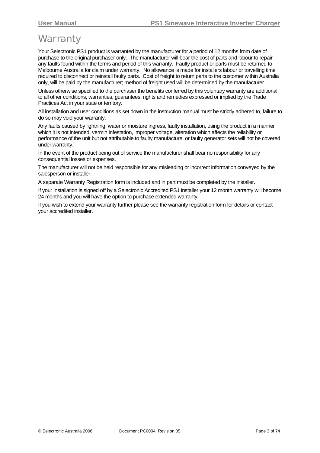# <span id="page-2-0"></span>**Warranty**

Your Selectronic PS1 product is warranted by the manufacturer for a period of 12 months from date of purchase to the original purchaser only. The manufacturer will bear the cost of parts and labour to repair any faults found within the terms and period of this warranty. Faulty product or parts must be returned to Melbourne Australia for claim under warranty. No allowance is made for installers labour or travelling time required to disconnect or reinstall faulty parts. Cost of freight to return parts to the customer within Australia only, will be paid by the manufacturer; method of freight used will be determined by the manufacturer.

Unless otherwise specified to the purchaser the benefits conferred by this voluntary warranty are additional to all other conditions, warranties, guarantees, rights and remedies expressed or implied by the Trade Practices Act in your state or territory.

All installation and user conditions as set down in the instruction manual must be strictly adhered to, failure to do so may void your warranty.

Any faults caused by lightning, water or moisture ingress, faulty installation, using the product in a manner which it is not intended, vermin infestation, improper voltage, alteration which affects the reliability or performance of the unit but not attributable to faulty manufacture, or faulty generator sets will not be covered under warranty.

In the event of the product being out of service the manufacturer shall bear no responsibility for any consequential losses or expenses.

The manufacturer will not be held responsible for any misleading or incorrect information conveyed by the salesperson or installer.

A separate Warranty Registration form is included and in part must be completed by the installer.

If your installation is signed off by a Selectronic Accredited PS1 installer your 12 month warranty will become 24 months and you will have the option to purchase extended warranty.

If you wish to extend your warranty further please see the warranty registration form for details or contact your accredited installer.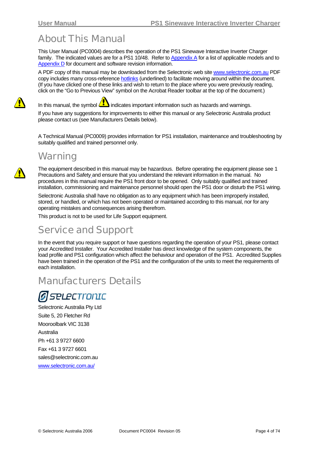# <span id="page-3-0"></span>About This Manual

This User Manual (PC0004) describes the operation of the PS1 Sinewave Interactive Inverter Charger family. The indicated values are for a PS1 10/48. Refer to [Appendix A](#page-64-0) for a list of applicable models and to [Appendix D](#page-73-0) for document and software revision information.

A PDF copy of this manual may be downloaded from the Selectronic web site [www.selectronic.com.au](http://www.selectronic.com.au/) PDF copy includes many cross-reference hotlinks (underlined) to facilitate moving around within the document. (If you have clicked one of these links and wish to return to the place where you were previously reading, click on the "Go to Previous View" symbol on the Acrobat Reader toolbar at the top of the document.)

In this manual, the symbol  $\langle I \rangle$  indicates important information such as hazards and warnings.

If you have any suggestions for improvements to either this manual or any Selectronic Australia product please contact us (see Manufacturers Details below).

A Technical Manual (PC0009) provides information for PS1 installation, maintenance and troubleshooting by suitably qualified and trained personnel only.

### **Warning**

The equipment described in this manual may be hazardous. Before operating the equipment please see [1](#page-7-0) [Precautions and Safety](#page-7-0) and ensure that you understand the relevant information in the manual. No procedures in this manual require the PS1 front door to be opened. Only suitably qualified and trained installation, commissioning and maintenance personnel should open the PS1 door or disturb the PS1 wiring.

Selectronic Australia shall have no obligation as to any equipment which has been improperly installed, stored, or handled, or which has not been operated or maintained according to this manual, nor for any operating mistakes and consequences arising therefrom.

This product is not to be used for Life Support equipment.

### Service and Support

In the event that you require support or have questions regarding the operation of your PS1, please contact your Accredited Installer. Your Accredited Installer has direct knowledge of the system components, the load profile and PS1 configuration which affect the behaviour and operation of the PS1. Accredited Supplies have been trained in the operation of the PS1 and the configuration of the units to meet the requirements of each installation.

### Manufacturers Details

# **SPLECTronIC**

Selectronic Australia Pty Ltd Suite 5, 20 Fletcher Rd Mooroolbark VIC 3138 Australia Ph +61 3 9727 6600 Fax +61 3 9727 6601 sales@selectronic.com.au [www.selectronic.com.au/](http://www.selectronic.com.au/)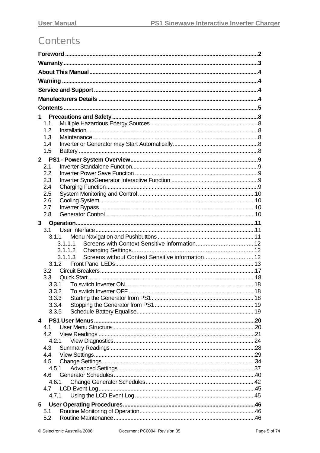# <span id="page-4-0"></span>**Contents**

| 1<br>1.1<br>1.2<br>1.3<br>1.4<br>1.5<br>$2^{\circ}$<br>2.1<br>2.2<br>2.3<br>2.4<br>2.5<br>2.6<br>2.7<br>2.8<br>3.1.1.1<br>3.1.1.3<br>3.1.2<br>3.2 |
|---------------------------------------------------------------------------------------------------------------------------------------------------|
|                                                                                                                                                   |
|                                                                                                                                                   |
|                                                                                                                                                   |
|                                                                                                                                                   |
|                                                                                                                                                   |
|                                                                                                                                                   |
|                                                                                                                                                   |
|                                                                                                                                                   |
|                                                                                                                                                   |
|                                                                                                                                                   |
|                                                                                                                                                   |
|                                                                                                                                                   |
|                                                                                                                                                   |
|                                                                                                                                                   |
|                                                                                                                                                   |
|                                                                                                                                                   |
|                                                                                                                                                   |
|                                                                                                                                                   |
|                                                                                                                                                   |
|                                                                                                                                                   |
|                                                                                                                                                   |
|                                                                                                                                                   |
|                                                                                                                                                   |
|                                                                                                                                                   |
|                                                                                                                                                   |
|                                                                                                                                                   |
|                                                                                                                                                   |
|                                                                                                                                                   |
| 3.3                                                                                                                                               |
| 3.3.1                                                                                                                                             |
|                                                                                                                                                   |
| 3.3.3<br>3.3.4                                                                                                                                    |
| 3.3.5                                                                                                                                             |
|                                                                                                                                                   |
| 4<br>4.1                                                                                                                                          |
| 4.2                                                                                                                                               |
| 4.2.1                                                                                                                                             |
| 4.3                                                                                                                                               |
| 4.4                                                                                                                                               |
| 4.5                                                                                                                                               |
| 4.5.1                                                                                                                                             |
| 4.6<br>4.6.1                                                                                                                                      |
| 4.7                                                                                                                                               |
| 4.7.1                                                                                                                                             |
| 5                                                                                                                                                 |
| 5.1                                                                                                                                               |
| 5.2                                                                                                                                               |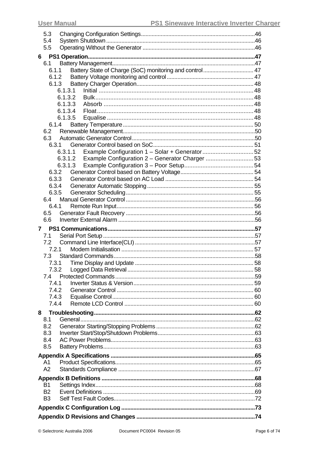| 5.3            |         |                                                         |  |
|----------------|---------|---------------------------------------------------------|--|
| 5.4            |         |                                                         |  |
| 5.5            |         |                                                         |  |
| $6 -$          |         |                                                         |  |
| 6.1            |         |                                                         |  |
| 6.1.1          |         | Battery State of Charge (SoC) monitoring and control 47 |  |
| 6.1.2          |         |                                                         |  |
|                | 6.1.3   |                                                         |  |
|                | 6.1.3.1 |                                                         |  |
|                | 6.1.3.2 |                                                         |  |
|                | 6.1.3.3 |                                                         |  |
|                | 6.1.3.4 |                                                         |  |
|                | 6.1.3.5 |                                                         |  |
|                | 6.1.4   |                                                         |  |
| 6.2            |         |                                                         |  |
| 6.3            |         |                                                         |  |
| 6.3.1          |         |                                                         |  |
|                | 6.3.1.1 |                                                         |  |
|                |         | 6.3.1.2 Example Configuration 2 - Generator Charger  53 |  |
|                |         |                                                         |  |
| 6.3.2          |         |                                                         |  |
| 6.3.3          |         |                                                         |  |
| 6.3.5          | 6.3.4   |                                                         |  |
| 6.4            |         |                                                         |  |
| 6.4.1          |         |                                                         |  |
| 6.5            |         |                                                         |  |
| 6.6            |         |                                                         |  |
|                |         |                                                         |  |
|                |         |                                                         |  |
| 7              |         |                                                         |  |
| 7.1            |         |                                                         |  |
| 7.2            |         |                                                         |  |
| 7.2.1          |         |                                                         |  |
| 7.3            |         |                                                         |  |
| 7.3.1          |         |                                                         |  |
| 7.3.2          |         |                                                         |  |
| 7.4            |         |                                                         |  |
| 7.4.1          |         |                                                         |  |
| 7.4.2          |         |                                                         |  |
| 7.4.3<br>7.4.4 |         |                                                         |  |
|                |         |                                                         |  |
| 8              |         |                                                         |  |
| 8.1            |         |                                                         |  |
| 8.2            |         |                                                         |  |
| 8.3            |         |                                                         |  |
| 8.4            |         |                                                         |  |
| 8.5            |         |                                                         |  |
|                |         |                                                         |  |
| A1             |         |                                                         |  |
| A2             |         |                                                         |  |
|                |         |                                                         |  |
| <b>B1</b>      |         |                                                         |  |
| B <sub>2</sub> |         |                                                         |  |
| B <sub>3</sub> |         |                                                         |  |
|                |         |                                                         |  |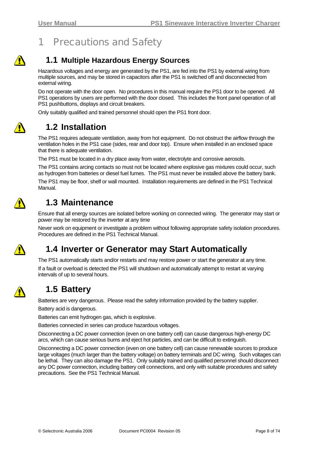

# <span id="page-7-0"></span>1 Precautions and Safety

### **1.1 Multiple Hazardous Energy Sources**

Hazardous voltages and energy are generated by the PS1, are fed into the PS1 by external wiring from multiple sources, and may be stored in capacitors after the PS1 is switched off and disconnected from external wiring.

Do not operate with the door open. No procedures in this manual require the PS1 door to be opened. All PS1 operations by users are performed with the door closed. This includes the front panel operation of all PS1 pushbuttons, displays and circuit breakers.

Only suitably qualified and trained personnel should open the PS1 front door.



### **1.2 Installation**

The PS1 requires adequate ventilation, away from hot equipment. Do not obstruct the airflow through the ventilation holes in the PS1 case (sides, rear and door top). Ensure when installed in an enclosed space that there is adequate ventilation.

The PS1 must be located in a dry place away from water, electrolyte and corrosive aerosols.

The PS1 contains arcing contacts so must not be located where explosive gas mixtures could occur, such as hydrogen from batteries or diesel fuel fumes. The PS1 must never be installed above the battery bank.

The PS1 may be floor, shelf or wall mounted. Installation requirements are defined in the PS1 Technical Manual.



### **1.3 Maintenance**

Ensure that all energy sources are isolated before working on connected wiring. The generator may start or power may be restored by the inverter at any time

Never work on equipment or investigate a problem without following appropriate safety isolation procedures. Procedures are defined in the PS1 Technical Manual.



### **1.4 Inverter or Generator may Start Automatically**

The PS1 automatically starts and/or restarts and may restore power or start the generator at any time. If a fault or overload is detected the PS1 will shutdown and automatically attempt to restart at varying intervals of up to several hours.

### **1.5 Battery**

Batteries are very dangerous. Please read the safety information provided by the battery supplier.

Battery acid is dangerous.

Batteries can emit hydrogen gas, which is explosive.

Batteries connected in series can produce hazardous voltages.

Disconnecting a DC power connection (even on one battery cell) can cause dangerous high-energy DC arcs, which can cause serious burns and eject hot particles, and can be difficult to extinguish.

Disconnecting a DC power connection (even on one battery cell) can cause renewable sources to produce large voltages (much larger than the battery voltage) on battery terminals and DC wiring. Such voltages can be lethal. They can also damage the PS1. Only suitably trained and qualified personnel should disconnect any DC power connection, including battery cell connections, and only with suitable procedures and safety precautions. See the PS1 Technical Manual.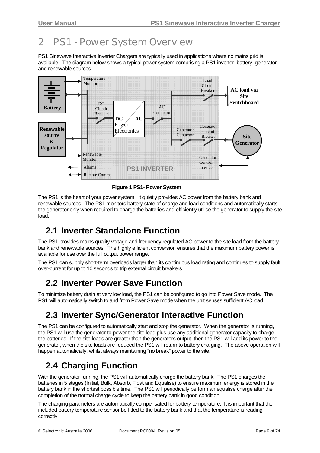# <span id="page-8-0"></span>2 PS1 - Power System Overview

PS1 Sinewave Interactive Inverter Chargers are typically used in applications where no mains grid is available. The diagram below shows a typical power system comprising a PS1 inverter, battery, generator and renewable sources.



**Figure 1 PS1- Power System** 

The PS1 is the heart of your power system. It quietly provides AC power from the battery bank and renewable sources. The PS1 monitors battery state of charge and load conditions and automatically starts the generator only when required to charge the batteries and efficiently utilise the generator to supply the site load.

### **2.1 Inverter Standalone Function**

The PS1 provides mains quality voltage and frequency regulated AC power to the site load from the battery bank and renewable sources. The highly efficient conversion ensures that the maximum battery power is available for use over the full output power range.

The PS1 can supply short-term overloads larger than its continuous load rating and continues to supply fault over-current for up to 10 seconds to trip external circuit breakers.

### **2.2 Inverter Power Save Function**

To minimize battery drain at very low load, the PS1 can be configured to go into Power Save mode. The PS1 will automatically switch to and from Power Save mode when the unit senses sufficient AC load.

### **2.3 Inverter Sync/Generator Interactive Function**

The PS1 can be configured to automatically start and stop the generator. When the generator is running, the PS1 will use the generator to power the site load plus use any additional generator capacity to charge the batteries. If the site loads are greater than the generators output, then the PS1 will add its power to the generator, when the site loads are reduced the PS1 will return to battery charging. The above operation will happen automatically, whilst always maintaining "no break" power to the site.

### **2.4 Charging Function**

With the generator running, the PS1 will automatically charge the battery bank. The PS1 charges the batteries in 5 stages (Initial, Bulk, Absorb, Float and Equalise) to ensure maximum energy is stored in the battery bank in the shortest possible time. The PS1 will periodically perform an equalise charge after the completion of the normal charge cycle to keep the battery bank in good condition.

The charging parameters are automatically compensated for battery temperature. It is important that the included battery temperature sensor be fitted to the battery bank and that the temperature is reading correctly.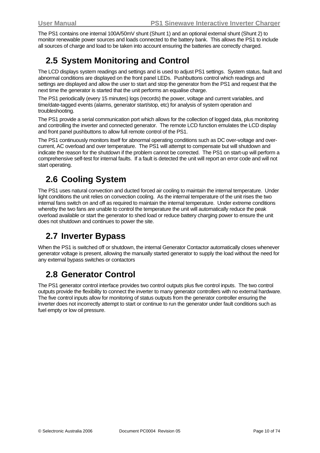<span id="page-9-0"></span>The PS1 contains one internal 100A/50mV shunt (Shunt 1) and an optional external shunt (Shunt 2) to monitor renewable power sources and loads connected to the battery bank. This allows the PS1 to include all sources of charge and load to be taken into account ensuring the batteries are correctly charged.

### **2.5 System Monitoring and Control**

The LCD displays system readings and settings and is used to adjust PS1 settings. System status, fault and abnormal conditions are displayed on the front panel LEDs. Pushbuttons control which readings and settings are displayed and allow the user to start and stop the generator from the PS1 and request that the next time the generator is started that the unit performs an equalise charge.

The PS1 periodically (every 15 minutes) logs (records) the power, voltage and current variables, and time/date-tagged events (alarms, generator start/stop, etc) for analysis of system operation and troubleshooting.

The PS1 provide a serial communication port which allows for the collection of logged data, plus monitoring and controlling the inverter and connected generator. The remote LCD function emulates the LCD display and front panel pushbuttons to allow full remote control of the PS1.

The PS1 continuously monitors itself for abnormal operating conditions such as DC over-voltage and overcurrent, AC overload and over temperature. The PS1 will attempt to compensate but will shutdown and indicate the reason for the shutdown if the problem cannot be corrected. The PS1 on start-up will perform a comprehensive self-test for internal faults. If a fault is detected the unit will report an error code and will not start operating.

# **2.6 Cooling System**

The PS1 uses natural convection and ducted forced air cooling to maintain the internal temperature. Under light conditions the unit relies on convection cooling. As the internal temperature of the unit rises the two internal fans switch on and off as required to maintain the internal temperature. Under extreme conditions whereby the two fans are unable to control the temperature the unit will automatically reduce the peak overload available or start the generator to shed load or reduce battery charging power to ensure the unit does not shutdown and continues to power the site.

### **2.7 Inverter Bypass**

When the PS1 is switched off or shutdown, the internal Generator Contactor automatically closes whenever generator voltage is present, allowing the manually started generator to supply the load without the need for any external bypass switches or contactors

### **2.8 Generator Control**

The PS1 generator control interface provides two control outputs plus five control inputs. The two control outputs provide the flexibility to connect the inverter to many generator controllers with no external hardware. The five control inputs allow for monitoring of status outputs from the generator controller ensuring the inverter does not incorrectly attempt to start or continue to run the generator under fault conditions such as fuel empty or low oil pressure.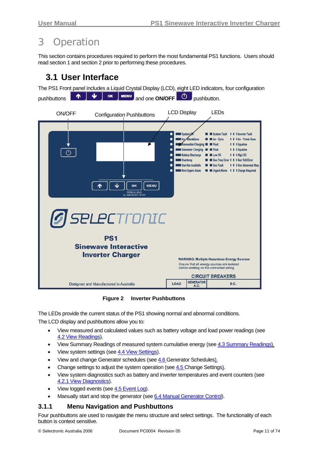# <span id="page-10-0"></span>3 Operation

This section contains procedures required to perform the most fundamental PS1 functions. Users should read section 1 and section 2 prior to performing these procedures.

### **3.1 User Interface**

The PS1 Front panel includes a Liquid Crystal Display (LCD), eight LED indicators, four configuration pushbuttons **1 1 v v ok MENU** and one **ON/OFF b** pushbutton.



**Figure 2 Inverter Pushbuttons** 

The LEDs provide the current status of the PS1 showing normal and abnormal conditions.

The LCD display and pushbuttons allow you to:

- View measured and calculated values such as battery voltage and load power readings (see [4.2](#page-20-0) [View Readings](#page-20-0)).
- View Summary Readings of measured system cumulative energy (see [4.3](#page-27-0) [Summary Readings](#page-27-0)).
- View system settings (see [4.4 View Settings\)](#page-28-0).
- View and change Generator schedules (see [4.6](#page-39-0) [Generator Schedules](#page-39-0)).
- Change settings to adjust the system operation (see [4.5 Change Settings](#page-33-0)).
- View system diagnostics such as battery and inverter temperatures and event counters (see [4.2.1 View Diagnostics\)](#page-23-0).
- View logged events (see [4.5](#page-40-0) [Event Log](#page-0-0)).
- Manually start and stop the generator (see [6.4 Manual Generator Control](#page-55-0)).

#### **3.1.1 Menu Navigation and Pushbuttons**

Four pushbuttons are used to navigate the menu structure and select settings. The functionality of each button is context sensitive.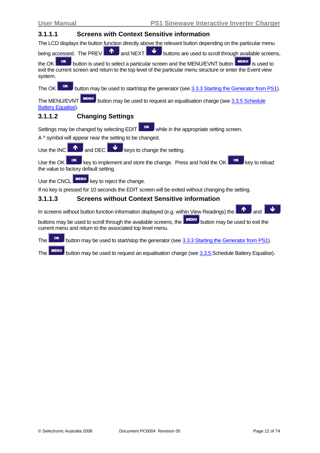#### <span id="page-11-0"></span>**3.1.1.1 Screens with Context Sensitive information**

The LCD displays the button function directly above the relevant button depending on the particular menu

being accessed. The PREV  $\Box$  and NEXT buttons are used to scroll through available screens,

the OK  $\overline{\phantom{a}}$  button is used to select a particular screen and the MENU/EVNT button  $\overline{\phantom{a}}$  is used to exit the current screen and return to the top level of the particular menu structure or enter the Event view system.

The OK **button may be used to start/stop the generator (see [3.3.3 Starting the Generator from PS1\)](#page-17-0).** 

The MENU/EVNT **MENU** button may be used to request an equalisation charge (see [3.3.5 Schedule](#page-18-0) [Battery Equalise\)](#page-18-0).

#### **3.1.1.2 Changing Settings**

Settings may be changed by selecting  $E$ DIT while in the appropriate setting screen.

A ^ symbol will appear near the setting to be changed.

Use the INC  $\blacksquare$  and DEC keys to change the setting.

Use the OK  $\frac{K}{k}$  key to implement and store the change. Press and hold the OK  $\frac{K}{k}$  key to reload the value to factory default setting.

Use the CNCL  $\boxed{\text{MENU}}$  key to reject the change.

If no key is pressed for 10 seconds the EDIT screen will be exited without changing the setting.

#### **3.1.1.3 Screens without Context Sensitive information**

In screens without button function information displayed (e.g. within View Readings) the

buttons may be used to scroll through the available screens, the **MENU** button may be used to exit the current menu and return to the associated top level menu.

The **button may be used to start/stop the generator (see [3.3.3 Starting the Generator from PS1\)](#page-17-0).** 

The  $\Box$  button may be used to request an equalisation charge (see  $3.3.5$  Schedule Battery Equalise).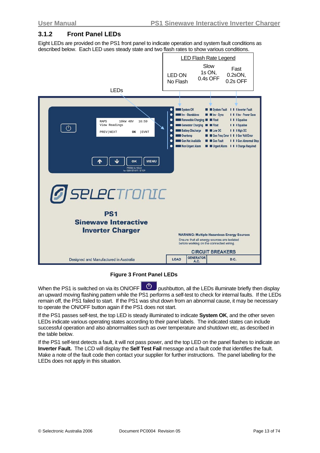#### <span id="page-12-0"></span>**3.1.2 Front Panel LEDs**

Eight LEDs are provided on the PS1 front panel to indicate operation and system fault conditions as described below. Each LED uses steady state and two flash rates to show various conditions.

|                                                                                                           |                                                                                                                                                                                                              |                                  | <b>LED Flash Rate Legend</b>                                                                                                                                                                                                                                          |
|-----------------------------------------------------------------------------------------------------------|--------------------------------------------------------------------------------------------------------------------------------------------------------------------------------------------------------------|----------------------------------|-----------------------------------------------------------------------------------------------------------------------------------------------------------------------------------------------------------------------------------------------------------------------|
|                                                                                                           | <b>LED ON</b><br>No Flash                                                                                                                                                                                    | Slow<br>1s ON,<br>0.4s OFF       | Fast<br>$0.2$ sON,<br>0.2s OFF                                                                                                                                                                                                                                        |
| <b>LEDs</b>                                                                                               |                                                                                                                                                                                                              |                                  |                                                                                                                                                                                                                                                                       |
|                                                                                                           |                                                                                                                                                                                                              |                                  |                                                                                                                                                                                                                                                                       |
| 10kW 48V<br>16:59<br><b>RAPS</b><br>View Readings<br>$\circlearrowleft$<br><b>EVNT</b><br>PREV NEXT<br>ОK | System OK<br>Inv - Standalone<br>Renewable Charging <b>THE Float</b><br>Generator Charging<br>٠<br><b>Battery Discharge</b><br>٠<br>٠<br><b>Covertemp</b><br>Gen Not Available<br>٠<br>Non Urgent Alarm<br>٠ | <b>E</b> Float<br><b>ELow DC</b> | System Fault<br>I I I Inverter Fault<br>I I I Inv - Power Save<br><b>E</b> Inv - Sync<br>I I I Equalise<br>I I Equalise<br>I I High DC<br>Gen Freq Error 1 1 I Gen Volt Error<br><b>Gen Fault</b><br>I I Gen Abnormal Stop<br><b>El Guardian Dela Charge Required</b> |
| <b>MENU</b><br><b>OK</b><br>PRESS & HOLD<br>for GEN START / STOP                                          |                                                                                                                                                                                                              |                                  |                                                                                                                                                                                                                                                                       |
| <b><i>G</i></b> SELECTRONIC                                                                               |                                                                                                                                                                                                              |                                  |                                                                                                                                                                                                                                                                       |
| <b>PS1</b>                                                                                                |                                                                                                                                                                                                              |                                  |                                                                                                                                                                                                                                                                       |
| <b>Sinewave Interactive</b>                                                                               |                                                                                                                                                                                                              |                                  |                                                                                                                                                                                                                                                                       |
| <b>Inverter Charger</b>                                                                                   |                                                                                                                                                                                                              |                                  |                                                                                                                                                                                                                                                                       |
|                                                                                                           |                                                                                                                                                                                                              |                                  | <b>WARNING: Multiple Hazardous Energy Sources</b><br>Ensure that all energy sources are isolated                                                                                                                                                                      |
|                                                                                                           |                                                                                                                                                                                                              |                                  | before working on the connected wiring.                                                                                                                                                                                                                               |
|                                                                                                           |                                                                                                                                                                                                              | <b>GENERATOR</b>                 | <b>CIRCUIT BREAKERS</b>                                                                                                                                                                                                                                               |
| Designed and Manufactured in Australia                                                                    | <b>LOAD</b>                                                                                                                                                                                                  | A.C.                             | D.C.                                                                                                                                                                                                                                                                  |

#### **Figure 3 Front Panel LEDs**

When the PS1 is switched on via its ON/OFF  $\Box$  pushbutton, all the LEDs illuminate briefly then display an upward moving flashing pattern while the PS1 performs a self-test to check for internal faults. If the LEDs remain off, the PS1 failed to start. If the PS1 was shut down from an abnormal cause, it may be necessary to operate the ON/OFF button again if the PS1 does not start.

If the PS1 passes self-test, the top LED is steady illuminated to indicate **System OK**, and the other seven LEDs indicate various operating states according to their panel labels. The indicated states can include successful operation and also abnormalities such as over temperature and shutdown etc, as described in the table below.

If the PS1 self-test detects a fault, it will not pass power, and the top LED on the panel flashes to indicate an **Inverter Fault.** The LCD will display the **Self Test Fail** message and a fault code that identifies the fault. Make a note of the fault code then contact your supplier for further instructions. The panel labelling for the LEDs does not apply in this situation.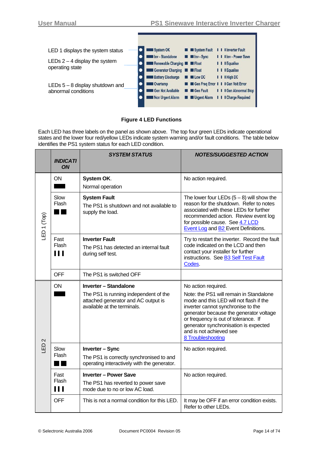

#### **Figure 4 LED Functions**

Each LED has three labels on the panel as shown above. The top four green LEDs indicate operational states and the lower four red/yellow LEDs indicate system warning and/or fault conditions. The table below identifies the PS1 system status for each LED condition.

|                        | <b>INDICATI</b><br><b>ON</b>    | <b>SYSTEM STATUS</b>                                                                                                                 | <b>NOTES/SUGGESTED ACTION</b>                                                                                                                                                                                                                                                                                               |
|------------------------|---------------------------------|--------------------------------------------------------------------------------------------------------------------------------------|-----------------------------------------------------------------------------------------------------------------------------------------------------------------------------------------------------------------------------------------------------------------------------------------------------------------------------|
|                        | ON                              | System OK.<br>Normal operation                                                                                                       | No action required.                                                                                                                                                                                                                                                                                                         |
| LED <sub>1</sub> (Top) | Slow<br><b>Flash</b>            | <b>System Fault</b><br>The PS1 is shutdown and not available to<br>supply the load.                                                  | The lower four LEDs $(5-8)$ will show the<br>reason for the shutdown. Refer to notes<br>associated with these LEDs for further<br>recommended action. Review event log<br>for possible cause. See 4.7 LCD<br><b>Event Log and B2 Event Definitions.</b>                                                                     |
|                        | Fast<br>Flash<br>$\blacksquare$ | <b>Inverter Fault</b><br>The PS1 has detected an internal fault<br>during self test.                                                 | Try to restart the inverter. Record the fault<br>code indicated on the LCD and then<br>contact your installer for further<br>instructions. See B3 Self Test Fault<br>Codes.                                                                                                                                                 |
|                        | <b>OFF</b>                      | The PS1 is switched OFF                                                                                                              |                                                                                                                                                                                                                                                                                                                             |
| $\mathbf{\Omega}$      | ON                              | Inverter - Standalone<br>The PS1 is running independent of the<br>attached generator and AC output is<br>available at the terminals. | No action required.<br>Note: the PS1 will remain in Standalone<br>mode and this LED will not flash if the<br>inverter cannot synchronise to the<br>generator because the generator voltage<br>or frequency is out of tolerance. If<br>generator synchronisation is expected<br>and is not achieved see<br>8 Troubleshooting |
| 山                      | Slow<br>Flash                   | <b>Inverter - Sync</b><br>The PS1 is correctly synchronised to and<br>operating interactively with the generator.                    | No action required.                                                                                                                                                                                                                                                                                                         |
|                        | Fast<br>Flash<br>$\blacksquare$ | <b>Inverter - Power Save</b><br>The PS1 has reverted to power save<br>mode due to no or low AC load.                                 | No action required.                                                                                                                                                                                                                                                                                                         |
|                        | <b>OFF</b>                      | This is not a normal condition for this LED.                                                                                         | It may be OFF if an error condition exists.<br>Refer to other LEDs.                                                                                                                                                                                                                                                         |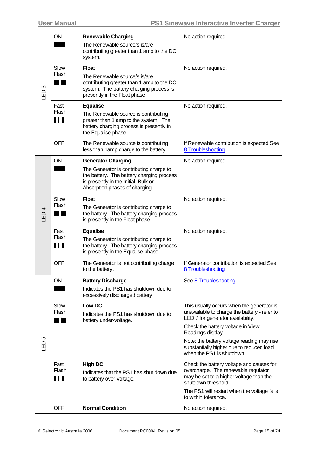|                  | <b>ON</b>                       | <b>Renewable Charging</b>                                                                                                                                              | No action required.                                                                                                                               |
|------------------|---------------------------------|------------------------------------------------------------------------------------------------------------------------------------------------------------------------|---------------------------------------------------------------------------------------------------------------------------------------------------|
|                  |                                 | The Renewable source/s is/are<br>contributing greater than 1 amp to the DC<br>system.                                                                                  |                                                                                                                                                   |
| $\infty$<br>GED  | Slow<br>Flash                   | <b>Float</b><br>The Renewable source/s is/are<br>contributing greater than 1 amp to the DC<br>system. The battery charging process is<br>presently in the Float phase. | No action required.                                                                                                                               |
|                  | Fast<br>Flash                   | <b>Equalise</b><br>The Renewable source is contributing                                                                                                                | No action required.                                                                                                                               |
|                  | Ш                               | greater than 1 amp to the system. The<br>battery charging process is presently in<br>the Equalise phase.                                                               |                                                                                                                                                   |
|                  | <b>OFF</b>                      | The Renewable source is contributing<br>less than 1 amp charge to the battery.                                                                                         | If Renewable contribution is expected See<br>8 Troubleshooting                                                                                    |
|                  | ON                              | <b>Generator Charging</b>                                                                                                                                              | No action required.                                                                                                                               |
| LED <sub>4</sub> |                                 | The Generator is contributing charge to<br>the battery. The battery charging process<br>is presently in the Initial, Bulk or<br>Absorption phases of charging.         |                                                                                                                                                   |
|                  | Slow                            | <b>Float</b>                                                                                                                                                           | No action required.                                                                                                                               |
|                  | Flash                           | The Generator is contributing charge to<br>the battery. The battery charging process<br>is presently in the Float phase.                                               |                                                                                                                                                   |
|                  | Fast                            | <b>Equalise</b>                                                                                                                                                        | No action required.                                                                                                                               |
|                  | Flash<br>$\blacksquare$         | The Generator is contributing charge to<br>the battery. The battery charging process<br>is presently in the Equalise phase.                                            |                                                                                                                                                   |
|                  | <b>OFF</b>                      | The Generator is not contributing charge<br>to the battery.                                                                                                            | If Generator contribution is expected See<br>8 Troubleshooting                                                                                    |
|                  | ON                              | <b>Battery Discharge</b>                                                                                                                                               | See 8 Troubleshooting.                                                                                                                            |
|                  |                                 | Indicates the PS1 has shutdown due to<br>excessively discharged battery                                                                                                |                                                                                                                                                   |
|                  | Slow<br>Flash                   | Low DC<br>Indicates the PS1 has shutdown due to<br>battery under-voltage.                                                                                              | This usually occurs when the generator is<br>unavailable to charge the battery - refer to<br>LED 7 for generator availability.                    |
|                  |                                 |                                                                                                                                                                        | Check the battery voltage in View<br>Readings display.                                                                                            |
| LED <sub>5</sub> |                                 |                                                                                                                                                                        | Note: the battery voltage reading may rise<br>substantially higher due to reduced load<br>when the PS1 is shutdown.                               |
|                  | Fast<br>Flash<br>$\blacksquare$ | <b>High DC</b><br>Indicates that the PS1 has shut down due<br>to battery over-voltage.                                                                                 | Check the battery voltage and causes for<br>overcharge. The renewable regulator<br>may be set to a higher voltage than the<br>shutdown threshold. |
|                  |                                 |                                                                                                                                                                        | The PS1 will restart when the voltage falls<br>to within tolerance.                                                                               |
|                  | <b>OFF</b>                      | <b>Normal Condition</b>                                                                                                                                                | No action required.                                                                                                                               |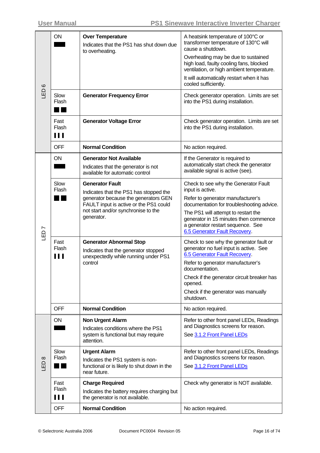| $\mathbf{\circ}$ | ON                     | <b>Over Temperature</b><br>Indicates that the PS1 has shut down due<br>to overheating.                                                                                                                  | A heatsink temperature of 100°C or<br>transformer temperature of 130°C will<br>cause a shutdown.<br>Overheating may be due to sustained<br>high load, faulty cooling fans, blocked<br>ventilation, or high ambient temperature.<br>It will automatically restart when it has<br>cooled sufficiently. |
|------------------|------------------------|---------------------------------------------------------------------------------------------------------------------------------------------------------------------------------------------------------|------------------------------------------------------------------------------------------------------------------------------------------------------------------------------------------------------------------------------------------------------------------------------------------------------|
| 品                | Slow<br>Flash          | <b>Generator Frequency Error</b>                                                                                                                                                                        | Check generator operation. Limits are set<br>into the PS1 during installation.                                                                                                                                                                                                                       |
|                  | Fast<br>Flash<br>111   | <b>Generator Voltage Error</b>                                                                                                                                                                          | Check generator operation. Limits are set<br>into the PS1 during installation.                                                                                                                                                                                                                       |
|                  | <b>OFF</b>             | <b>Normal Condition</b>                                                                                                                                                                                 | No action required.                                                                                                                                                                                                                                                                                  |
|                  | ON                     | <b>Generator Not Available</b><br>Indicates that the generator is not<br>available for automatic control                                                                                                | If the Generator is required to<br>automatically start check the generator<br>available signal is active (see).                                                                                                                                                                                      |
| LED7             | Slow<br>Flash          | <b>Generator Fault</b><br>Indicates that the PS1 has stopped the<br>generator because the generators GEN<br>FAULT input is active or the PS1 could<br>not start and/or synchronise to the<br>generator. | Check to see why the Generator Fault<br>input is active.<br>Refer to generator manufacturer's<br>documentation for troubleshooting advice.<br>The PS1 will attempt to restart the<br>generator in 15 minutes then commence<br>a generator restart sequence. See<br>6.5 Generator Fault Recovery.     |
|                  | Fast<br>Flash<br>'''   | <b>Generator Abnormal Stop</b><br>Indicates that the generator stopped<br>unexpectedly while running under PS1<br>control                                                                               | Check to see why the generator fault or<br>generator no fuel input is active. See<br>6.5 Generator Fault Recovery.<br>Refer to generator manufacturer's<br>documentation.<br>Check if the generator circuit breaker has<br>opened.<br>Check if the generator was manually<br>shutdown.               |
|                  | <b>OFF</b>             | <b>Normal Condition</b>                                                                                                                                                                                 | No action required.                                                                                                                                                                                                                                                                                  |
| $\infty$<br>GED  | ON                     | <b>Non Urgent Alarm</b><br>Indicates conditions where the PS1<br>system is functional but may require<br>attention.                                                                                     | Refer to other front panel LEDs, Readings<br>and Diagnostics screens for reason.<br>See 3.1.2 Front Panel LEDs                                                                                                                                                                                       |
|                  | Slow<br>Flash          | <b>Urgent Alarm</b><br>Indicates the PS1 system is non-<br>functional or is likely to shut down in the<br>near future.                                                                                  | Refer to other front panel LEDs, Readings<br>and Diagnostics screens for reason.<br>See 3.1.2 Front Panel LEDs                                                                                                                                                                                       |
|                  | Fast<br>Flash<br>1 I I | <b>Charge Required</b><br>Indicates the battery requires charging but<br>the generator is not available.                                                                                                | Check why generator is NOT available.                                                                                                                                                                                                                                                                |
|                  | <b>OFF</b>             | <b>Normal Condition</b>                                                                                                                                                                                 | No action required.                                                                                                                                                                                                                                                                                  |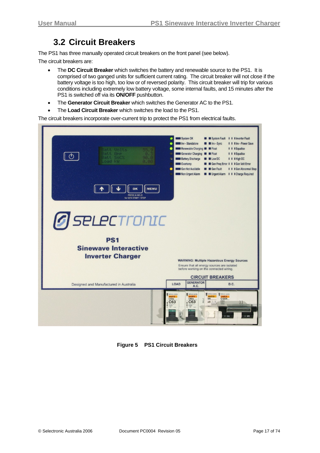### **3.2 Circuit Breakers**

<span id="page-16-0"></span>The PS1 has three manually operated circuit breakers on the front panel (see below).

The circuit breakers are:

- The **DC Circuit Breaker** which switches the battery and renewable source to the PS1. It is comprised of two ganged units for sufficient current rating. The circuit breaker will not close if the battery voltage is too high, too low or of reversed polarity. This circuit breaker will trip for various conditions including extremely low battery voltage, some internal faults, and 15 minutes after the PS1 is switched off via its **ON/OFF** pushbutton.
- The **Generator Circuit Breaker** which switches the Generator AC to the PS1.
- The **Load Circuit Breaker** which switches the load to the PS1.

The circuit breakers incorporate over-current trip to protect the PS1 from electrical faults.



**Figure 5 PS1 Circuit Breakers**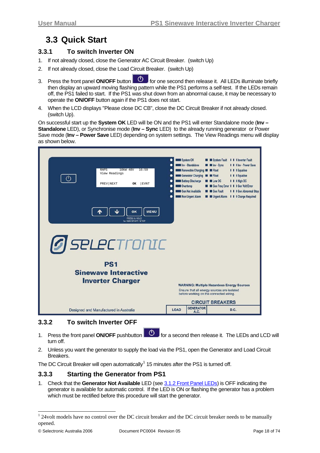### <span id="page-17-0"></span>**3.3 Quick Start**

#### **3.3.1 To switch Inverter ON**

- 1. If not already closed, close the Generator AC Circuit Breaker. (switch Up)
- 2. If not already closed, close the Load Circuit Breaker. (switch Up)
- 3. Press the front panel **ON/OFF** button  $\Box$  for one second then release it. All LEDs illuminate briefly then display an upward moving flashing pattern while the PS1 performs a self-test. If the LEDs remain off, the PS1 failed to start. If the PS1 was shut down from an abnormal cause, it may be necessary to operate the **ON/OFF** button again if the PS1 does not start.
- 4. When the LCD displays "Please close DC CB", close the DC Circuit Breaker if not already closed. (switch Up).

On successful start up the **System OK** LED will be ON and the PS1 will enter Standalone mode (**Inv – Standalone** LED), or Synchronise mode (**Inv – Sync** LED) to the already running generator or Power Save mode (**Inv – Power Save** LED) depending on system settings. The View Readings menu will display as shown below.

| 10kW 48V<br>16:59<br><b>RAPS</b><br>View Readings<br>PREV NEXT<br>EVNT<br>ОK                                                           | <b>Overtemp</b>                                                                                                                                                                                                                                 | System OK<br>Inv - Standalone<br>Renewable Charging <b>E III</b> Float<br>Generator Charging <b>E Float</b><br><b>Battery Discharge</b><br>Gen Not Available | <b>E</b> Inv - Sync<br><b>ELow DC</b><br><b>E</b> Gen Fault | System Fault       I Inverter Fault<br><b>I</b> I I Inv - Power Save<br>I I Equalise<br>I I I Equalise<br>I I High DC<br>Gen Freq Error 1 1 I Gen Volt Error<br>I I Gen Abnormal Stop |  |
|----------------------------------------------------------------------------------------------------------------------------------------|-------------------------------------------------------------------------------------------------------------------------------------------------------------------------------------------------------------------------------------------------|--------------------------------------------------------------------------------------------------------------------------------------------------------------|-------------------------------------------------------------|---------------------------------------------------------------------------------------------------------------------------------------------------------------------------------------|--|
| <b>MENU</b><br>OK<br>PRESS & HOLD<br>for GEN START / STOP<br>PS <sub>1</sub><br><b>Sinewave Interactive</b><br><b>Inverter Charger</b> | <b>E M</b> Urgent Alarm <b>I I I</b> Charge Required<br>Non Urgent Alarm<br><b>G</b> SELECTronIC<br><b>WARNING: Multiple Hazardous Energy Sources</b><br>Ensure that all energy sources are isolated<br>before working on the connected wiring. |                                                                                                                                                              |                                                             |                                                                                                                                                                                       |  |
| Designed and Manufactured in Australia                                                                                                 | <b>LOAD</b>                                                                                                                                                                                                                                     | <b>GENERATOR</b><br>A.C.                                                                                                                                     |                                                             | D.C.                                                                                                                                                                                  |  |

#### **3.3.2 To switch Inverter OFF**

- 1. Press the front panel **ON/OFF** pushbutton **6. Only for a second then release it. The LEDs and LCD will** turn off.
- 2. Unless you want the generator to supply the load via the PS1, open the Generator and Load Circuit Breakers.

The DC Circuit Breaker will open automatically<sup>[1](#page-17-0)</sup> 15 minutes after the PS1 is turned off.

#### **3.3.3 Starting the Generator from PS1**

1. Check that the **Generator Not Available** LED (see [3.1.2 Front Panel LEDs\)](#page-12-0) is OFF indicating the generator is available for automatic control. If the LED is ON or flashing the generator has a problem which must be rectified before this procedure will start the generator.

<sup>&</sup>lt;sup>1</sup> 24volt models have no control over the DC circuit breaker and the DC circuit breaker needs to be manually opened.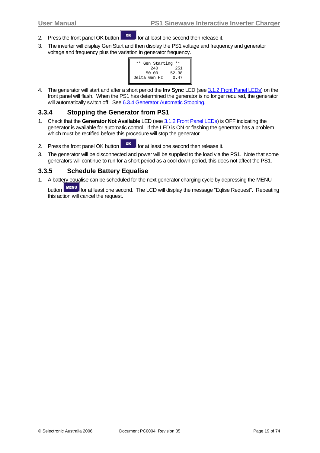- <span id="page-18-0"></span>2. Press the front panel OK button  $\begin{bmatrix} \text{OK} \\ \text{OfG} \end{bmatrix}$  for at least one second then release it.
- 3. The inverter will display Gen Start and then display the PS1 voltage and frequency and generator voltage and frequency plus the variation in generator frequency.



4. The generator will start and after a short period the **Inv Sync** LED (see [3.1.2 Front Panel LEDs](#page-12-0)) on the front panel will flash. When the PS1 has determined the generator is no longer required, the generator will automatically switch off. See [6.3.4 Generator Automatic Stopping](#page-54-0).

#### **3.3.4 Stopping the Generator from PS1**

- 1. Check that the **Generator Not Available** LED (see [3.1.2 Front Panel LEDs\)](#page-12-0) is OFF indicating the generator is available for automatic control. If the LED is ON or flashing the generator has a problem which must be rectified before this procedure will stop the generator.
- 2. Press the front panel OK button  $\begin{bmatrix} \n\text{OK} \n\end{bmatrix}$  for at least one second then release it.
- 3. The generator will be disconnected and power will be supplied to the load via the PS1. Note that some generators will continue to run for a short period as a cool down period, this does not affect the PS1.

#### **3.3.5 Schedule Battery Equalise**

1. A battery equalise can be scheduled for the next generator charging cycle by depressing the MENU

button MENU for at least one second. The LCD will display the message "Eqlise Request". Repeating this action will cancel the request.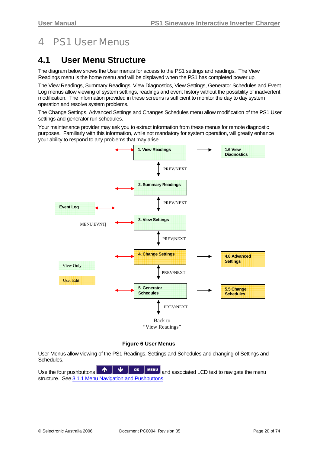# <span id="page-19-0"></span>4 PS1 User Menus

### **4.1 User Menu Structure**

The diagram below shows the User menus for access to the PS1 settings and readings. The View Readings menu is the home menu and will be displayed when the PS1 has completed power up.

The View Readings, Summary Readings, View Diagnostics, View Settings, Generator Schedules and Event Log menus allow viewing of system settings, readings and event history without the possibility of inadvertent modification. The information provided in these screens is sufficient to monitor the day to day system operation and resolve system problems.

The Change Settings, Advanced Settings and Changes Schedules menu allow modification of the PS1 User settings and generator run schedules.

Your maintenance provider may ask you to extract information from these menus for remote diagnostic purposes. Familiarly with this information, while not mandatory for system operation, will greatly enhance your ability to respond to any problems that may arise.



**Figure 6 User Menus** 

User Menus allow viewing of the PS1 Readings, Settings and Schedules and changing of Settings and Schedules.

Use the four pushbuttons and associated LCD text to navigate the menu structure. See [3.1.1 Menu Navigation and Pushbuttons](#page-10-0).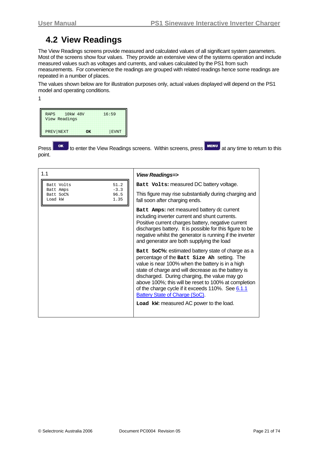### <span id="page-20-0"></span>**4.2 View Readings**

The View Readings screens provide measured and calculated values of all significant system parameters. Most of the screens show four values. They provide an extensive view of the systems operation and include measured values such as voltages and currents, and values calculated by the PS1 from such measurements. For convenience the readings are grouped with related readings hence some readings are repeated in a number of places.

The values shown below are for illustration purposes only, actual values displayed will depend on the PS1 model and operating conditions.

| ٠ |  |  |
|---|--|--|
|   |  |  |
|   |  |  |
|   |  |  |
|   |  |  |

| 10 <sub>kW</sub> 48V<br><b>RAPS</b><br>View Readings |    | 16:59 |
|------------------------------------------------------|----|-------|
| PREV NEXT                                            | OK | EVNT  |

Press **or** to enter the View Readings screens. Within screens, press **FILMENU** at any time to return to this point.

| 1.1                                                                               | <b>View Readings=&gt;</b>                                                                                                                                                                                                                                                                                                                                                                                                                              |
|-----------------------------------------------------------------------------------|--------------------------------------------------------------------------------------------------------------------------------------------------------------------------------------------------------------------------------------------------------------------------------------------------------------------------------------------------------------------------------------------------------------------------------------------------------|
| 51.2<br>Batt Volts<br>$-3.3$<br>Batt Amps<br>96.5<br>Batt SoC%<br>1.35<br>Load kW | Batt Volts: measured DC battery voltage.<br>This figure may rise substantially during charging and<br>fall soon after charging ends.                                                                                                                                                                                                                                                                                                                   |
|                                                                                   | Batt Amps: net measured battery dc current<br>including inverter current and shunt currents.<br>Positive current charges battery, negative current<br>discharges battery. It is possible for this figure to be<br>negative whilst the generator is running if the inverter<br>and generator are both supplying the load                                                                                                                                |
|                                                                                   | Batt SoC%: estimated battery state of charge as a<br>percentage of the Batt size Ah setting. The<br>value is near 100% when the battery is in a high<br>state of charge and will decrease as the battery is<br>discharged. During charging, the value may go<br>above 100%; this will be reset to 100% at completion<br>of the charge cycle if it exceeds 110%. See 6.1.1<br>Battery State of Charge (SoC).<br>Load kw: measured AC power to the load. |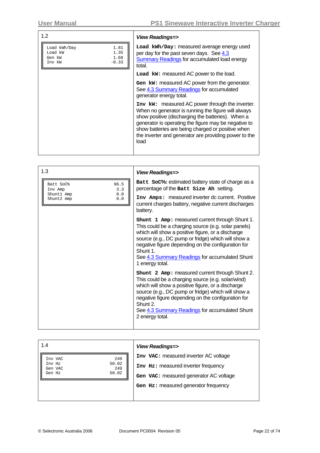| 1.2                                                                            | <b>View Readings=&gt;</b>                                                                                                                                                                                                                                                                                                                 |
|--------------------------------------------------------------------------------|-------------------------------------------------------------------------------------------------------------------------------------------------------------------------------------------------------------------------------------------------------------------------------------------------------------------------------------------|
| 1.81<br>Load kWh/Day<br>Load kW<br>1.35<br>1.68<br>Gen kW<br>$-0.33$<br>Inv kW | Load kWh/Day: measured average energy used<br>per day for the past seven days. See 4.3<br><b>Summary Readings for accumulated load energy</b><br>total.                                                                                                                                                                                   |
|                                                                                | Load kw: measured AC power to the load.                                                                                                                                                                                                                                                                                                   |
|                                                                                | Gen kw: measured AC power from the generator.<br>See 4.3 Summary Readings for accumulated<br>generator energy total.                                                                                                                                                                                                                      |
|                                                                                | Inv kw: measured AC power through the inverter.<br>When no generator is running the figure will always<br>show positive (discharging the batteries). When a<br>generator is operating the figure may be negative to<br>show batteries are being charged or positive when<br>the inverter and generator are providing power to the<br>load |
|                                                                                |                                                                                                                                                                                                                                                                                                                                           |
| $\sqrt{2}$                                                                     |                                                                                                                                                                                                                                                                                                                                           |

| 1.3                                    | <b>View Readings=&gt;</b>                                                                                                                                                                                                                                                                                                                               |
|----------------------------------------|---------------------------------------------------------------------------------------------------------------------------------------------------------------------------------------------------------------------------------------------------------------------------------------------------------------------------------------------------------|
| 96.5<br>Batt SoC%<br>3.3<br>Inv Amp    | Batt SoC%: estimated battery state of charge as a<br>percentage of the Batt Size Ah setting.                                                                                                                                                                                                                                                            |
| 0.0<br>Shunt1 Amp<br>Shunt2 Amp<br>0.0 | Inv Amps: measured inverter dc current. Positive<br>current charges battery, negative current discharges<br>battery.                                                                                                                                                                                                                                    |
|                                        | shunt 1 Amp: measured current through Shunt 1.<br>This could be a charging source (e.g. solar panels)<br>which will show a positive figure, or a discharge<br>source (e.g., DC pump or fridge) which will show a<br>negative figure depending on the configuration for<br>Shunt 1.<br>See 4.3 Summary Readings for accumulated Shunt<br>1 energy total. |
|                                        | shunt 2 Amp: measured current through Shunt 2.<br>This could be a charging source (e.g. solar/wind)<br>which will show a positive figure, or a discharge<br>source (e.g., DC pump or fridge) which will show a<br>negative figure depending on the configuration for<br>Shunt 2.<br>See 4.3 Summary Readings for accumulated Shunt<br>2 energy total.   |

| 1.4               |              | <b>View Readings=&gt;</b>                                                     |
|-------------------|--------------|-------------------------------------------------------------------------------|
| Inv VAC<br>Inv Hz | 249<br>50.02 | Inv VAC: measured inverter AC voltage                                         |
| Gen VAC<br>Gen Hz | 249<br>50.02 | Inv Hz: measured inverter frequency<br>Gen VAC: measured generator AC voltage |
|                   |              | Gen Hz: measured generator frequency                                          |
|                   |              |                                                                               |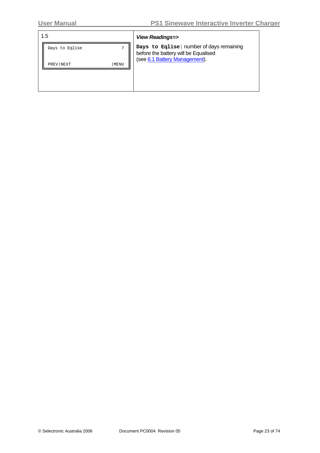| 1.5            |                | <b>View Readings=&gt;</b>                                                        |
|----------------|----------------|----------------------------------------------------------------------------------|
| Days to Eqlise | $\overline{ }$ | Days to Eqlise: number of days remaining<br>before the battery will be Equalised |
| PREV NEXT      | MENU           | (see 6.1 Battery Management).                                                    |
|                |                |                                                                                  |
|                |                |                                                                                  |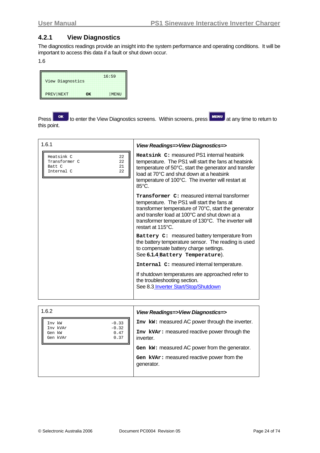#### <span id="page-23-0"></span>**4.2.1 View Diagnostics**

The diagnostics readings provide an insight into the system performance and operating conditions. It will be important to access this data if a fault or shut down occur.

1.6

| View Diagnostics |    | 16:59 |
|------------------|----|-------|
| PREV NEXT        | OK | MENU  |

Press **The View Diagnostics screens.** Within screens, press **MENU** at any time to return to this point.

| 1.6.1                                                                       | View Readings=>View Diagnostics=>                                                                                                                                                                                                                                                                 |
|-----------------------------------------------------------------------------|---------------------------------------------------------------------------------------------------------------------------------------------------------------------------------------------------------------------------------------------------------------------------------------------------|
| Heatsink C<br>22<br>Transformer C<br>22<br>21<br>Batt C<br>Internal C<br>22 | Heatsink C: measured PS1 internal heatsink<br>temperature. The PS1 will start the fans at heatsink<br>temperature of 50°C, start the generator and transfer<br>load at 70°C and shut down at a heatsink<br>temperature of 100°C. The inverter will restart at<br>$85^{\circ}$ C.                  |
|                                                                             | <b>Transformer C: measured internal transformer</b><br>temperature. The PS1 will start the fans at<br>transformer temperature of $70^{\circ}$ C, start the generator<br>and transfer load at 100°C and shut down at a<br>transformer temperature of 130°C. The inverter will<br>restart at 115°C. |
|                                                                             | Battery C: measured battery temperature from<br>the battery temperature sensor. The reading is used<br>to compensate battery charge settings.<br>See 6.1.4 Battery Temperature).                                                                                                                  |
|                                                                             | Internal C: measured internal temperature.                                                                                                                                                                                                                                                        |
|                                                                             | If shutdown temperatures are approached refer to<br>the troubleshooting section.<br>See 8.3 Inverter Start/Stop/Shutdown                                                                                                                                                                          |

| 1.6.2                                                     | View Readings=>View Diagnostics=>               |
|-----------------------------------------------------------|-------------------------------------------------|
| Inv kW<br>$-0.33$                                         | Inv kw: measured AC power through the inverter. |
| $-0.32$<br>Inv kVAr<br>0.47<br>Gen kW<br>0.37<br>Gen kVAr | Inv kVAr: measured reactive power through the   |
|                                                           | inverter.                                       |
|                                                           | Gen kw: measured AC power from the generator.   |
|                                                           | Gen kvar: measured reactive power from the      |
|                                                           | generator.                                      |
|                                                           |                                                 |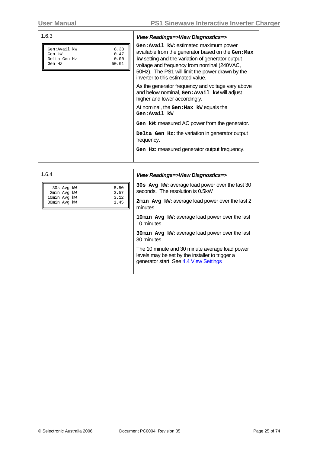| 1.6.3                                                                             | View Readings=>View Diagnostics=>                                                                                                                                                                                                                                                        |
|-----------------------------------------------------------------------------------|------------------------------------------------------------------------------------------------------------------------------------------------------------------------------------------------------------------------------------------------------------------------------------------|
| Gen:Avail kW<br>8.33<br>0.47<br>Gen kW<br>0.00<br>Delta Gen Hz<br>50.01<br>Gen Hz | Gen: Avail kw: estimated maximum power<br>available from the generator based on the Gen: Max<br>kw setting and the variation of generator output<br>voltage and frequency from nominal (240VAC,<br>50Hz). The PS1 will limit the power drawn by the<br>inverter to this estimated value. |
|                                                                                   | As the generator frequency and voltage vary above<br>and below nominal, Gen: Avail kw will adjust<br>higher and lower accordingly.                                                                                                                                                       |
|                                                                                   | At nominal, the Gen: Max kw equals the<br>Gen:Avail kW                                                                                                                                                                                                                                   |
|                                                                                   | Gen kw: measured AC power from the generator.                                                                                                                                                                                                                                            |
|                                                                                   | Delta Gen Hz: the variation in generator output<br>frequency.                                                                                                                                                                                                                            |
|                                                                                   | Gen Hz: measured generator output frequency.                                                                                                                                                                                                                                             |
|                                                                                   |                                                                                                                                                                                                                                                                                          |
| 164                                                                               | View Beadings - View Diognaetics                                                                                                                                                                                                                                                         |

| 1.6.4                                        | View Readings=>View Diagnostics=>                                                                                                          |
|----------------------------------------------|--------------------------------------------------------------------------------------------------------------------------------------------|
| 8.50<br>30s Avg kW<br>3.57<br>2min Avg kW    | 30s Avg kw: average load power over the last 30<br>seconds. The resolution is 0.5kW                                                        |
| 3.12<br>10min Avg kW<br>1.45<br>30min Avg kW | 2min Avg kw: average load power over the last 2<br>minutes.                                                                                |
|                                              | 10min Avg kw: average load power over the last<br>10 minutes.                                                                              |
|                                              | 30 min Avg kw: average load power over the last<br>30 minutes.                                                                             |
|                                              | The 10 minute and 30 minute average load power<br>levels may be set by the installer to trigger a<br>generator start See 4.4 View Settings |

**User Manual PS1 Sinewave Interactive Inverter Charger**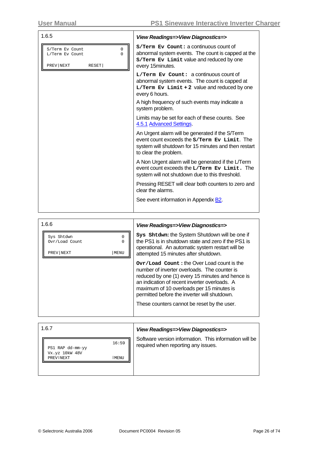| 1.6.5                                                                     | View Readings=>View Diagnostics=>                                                                                                                                                |
|---------------------------------------------------------------------------|----------------------------------------------------------------------------------------------------------------------------------------------------------------------------------|
| 0<br>S/Term Ev Count<br>0<br>L/Term Ev Count<br>PREV NEXT<br><b>RESET</b> | S/Term Ev Count: a continuous count of<br>abnormal system events. The count is capped at the<br>S/Term Ev Limit value and reduced by one<br>every 15minutes.                     |
|                                                                           | $L/Term$ Ev Count: a continuous count of<br>abnormal system events. The count is capped at<br>$L/Term$ Ev Limit + 2 value and reduced by one<br>every 6 hours.                   |
|                                                                           | A high frequency of such events may indicate a<br>system problem.                                                                                                                |
|                                                                           | Limits may be set for each of these counts. See<br>4.5.1 Advanced Settings                                                                                                       |
|                                                                           | An Urgent alarm will be generated if the S/Term<br>event count exceeds the s/Term Ev Limit. The<br>system will shutdown for 15 minutes and then restart<br>to clear the problem. |
|                                                                           | A Non Urgent alarm will be generated if the L/Term<br>event count exceeds the L/Term Ev Limit. The<br>system will not shutdown due to this threshold.                            |
|                                                                           | Pressing RESET will clear both counters to zero and<br>clear the alarms.                                                                                                         |
|                                                                           | See event information in Appendix <b>B2</b> .                                                                                                                                    |
|                                                                           |                                                                                                                                                                                  |

| Sys Shtdwn: the System Shutdown will be one if<br>the PS1 is in shutdown state and zero if the PS1 is<br>operational. An automatic system restart will be<br>attempted 15 minutes after shutdown.                                                                                                                                           |
|---------------------------------------------------------------------------------------------------------------------------------------------------------------------------------------------------------------------------------------------------------------------------------------------------------------------------------------------|
| Ovr/Load Count: the Over Load count is the<br>number of inverter overloads. The counter is<br>reduced by one (1) every 15 minutes and hence is<br>an indication of recent inverter overloads. A<br>maximum of 10 overloads per 15 minutes is<br>permitted before the inverter will shutdown.<br>These counters cannot be reset by the user. |
|                                                                                                                                                                                                                                                                                                                                             |

| 1.6.7                                                            | View Readings=>View Diagnostics=>                                                             |
|------------------------------------------------------------------|-----------------------------------------------------------------------------------------------|
| 16:59<br>PS1 RAP dd-mm-yy<br>Vx.yz 10kW 48V<br>MENU<br>PREV NEXT | Software version information. This information will be<br>required when reporting any issues. |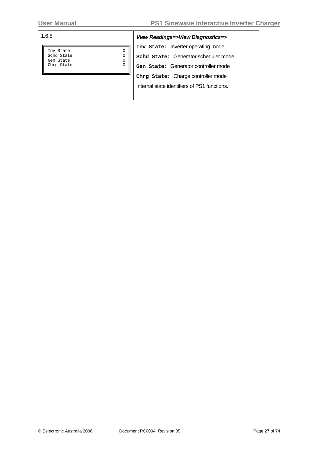| 1.6.8                                                                            | View Readings=>View Diagnostics=>                                                                                  |
|----------------------------------------------------------------------------------|--------------------------------------------------------------------------------------------------------------------|
| 0<br>Inv State<br>0<br>Schd State<br>0<br>Gen State<br>$\mathbf 0$<br>Chrg State | Inv State: Inverter operating mode<br>schd state: Generator scheduler mode<br>Gen State: Generator controller mode |
|                                                                                  | Chrg State: Charge controller mode<br>Internal state identifiers of PS1 functions.                                 |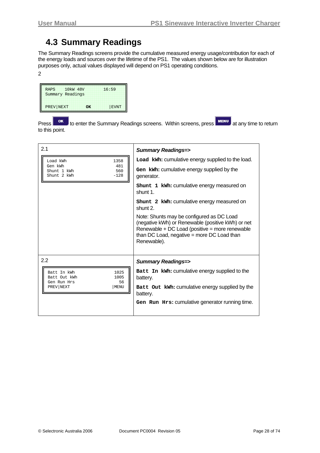### <span id="page-27-0"></span>**4.3 Summary Readings**

The Summary Readings screens provide the cumulative measured energy usage/contribution for each of the energy loads and sources over the lifetime of the PS1. The values shown below are for illustration purposes only, actual values displayed will depend on PS1 operating conditions.

2

| <b>RAPS</b>      | 10 <sub>kW</sub> 48V | 16:59 |
|------------------|----------------------|-------|
| Summary Readings |                      |       |
| PREV NEXT        | <b>OK</b>            | EVNT  |

Press or benter the Summary Readings screens. Within screens, press **MENU** at any time to return to this point.

| 2.1                                                                                   | <b>Summary Readings=&gt;</b>                                                                                                                                                                                  |
|---------------------------------------------------------------------------------------|---------------------------------------------------------------------------------------------------------------------------------------------------------------------------------------------------------------|
| Load kWh<br>1358                                                                      | Load kWh: cumulative energy supplied to the load.                                                                                                                                                             |
| Gen kWh<br>481<br>560<br>Shunt 1 kWh<br>Shunt 2 kWh<br>$-128$                         | Gen kwh: cumulative energy supplied by the<br>generator.                                                                                                                                                      |
|                                                                                       | shunt 1 kwh: cumulative energy measured on<br>shunt 1                                                                                                                                                         |
|                                                                                       | shunt 2 kwh: cumulative energy measured on<br>shunt 2.                                                                                                                                                        |
|                                                                                       | Note: Shunts may be configured as DC Load<br>(negative kWh) or Renewable (positive kWh) or net<br>Renewable + DC Load (positive = more renewable<br>than DC Load, negative = more DC Load than<br>Renewable). |
| 2.2                                                                                   | <b>Summary Readings=&gt;</b>                                                                                                                                                                                  |
| 1025<br>Batt In kWh<br>Batt Out kWh<br>1005<br>Gen Run Hrs<br>56<br>PREV NEXT<br>MENU | Batt In kWh: cumulative energy supplied to the<br>battery.<br>Batt Out kWh: cumulative energy supplied by the                                                                                                 |
|                                                                                       | battery.                                                                                                                                                                                                      |
|                                                                                       | Gen Run Hrs: cumulative generator running time.                                                                                                                                                               |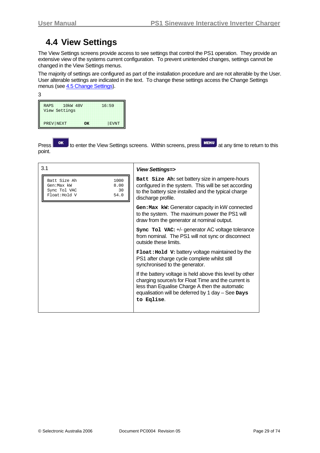### <span id="page-28-0"></span>**4.4 View Settings**

The View Settings screens provide access to see settings that control the PS1 operation. They provide an extensive view of the systems current configuration. To prevent unintended changes, settings cannot be changed in the View Settings menus.

The majority of settings are configured as part of the installation procedure and are not alterable by the User. User alterable settings are indicated in the text. To change these settings access the Change Settings menus (see [4.5 Change Settings](#page-33-0)).

| I<br>PU 1<br>.,    |  |
|--------------------|--|
| ۰<br>r.<br>۹<br>۰. |  |
| ×<br>v             |  |

| <b>RAPS</b><br>View Settings | 10 <sub>kW</sub> 48V |    | 16:59 |
|------------------------------|----------------------|----|-------|
| PREV NEXT                    |                      | OK | EVNT  |

Press **TOK** to enter the View Settings screens. Within screens, press **MENU** at any time to return to this point.

| 3.1                                                                                        | View Settings=>                                                                                                                                                                                                                      |
|--------------------------------------------------------------------------------------------|--------------------------------------------------------------------------------------------------------------------------------------------------------------------------------------------------------------------------------------|
| 1000<br>Batt Size Ah<br>Gen: Max kW<br>8.00<br>Sync Tol VAC<br>30<br>Float: Hold V<br>54.0 | Batt Size Ah: set battery size in ampere-hours<br>configured in the system. This will be set according<br>to the battery size installed and the typical charge<br>discharge profile.                                                 |
|                                                                                            | Gen: Max kw: Generator capacity in kW connected<br>to the system. The maximum power the PS1 will<br>draw from the generator at nominal output.                                                                                       |
|                                                                                            | Sync Tol VAC: +/- generator AC voltage tolerance<br>from nominal. The PS1 will not sync or disconnect<br>outside these limits.                                                                                                       |
|                                                                                            | <b>Float: Hold V: battery voltage maintained by the</b><br>PS1 after charge cycle complete whilst still<br>synchronised to the generator.                                                                                            |
|                                                                                            | If the battery voltage is held above this level by other<br>charging source/s for Float Time and the current is<br>less than Equalise Charge A then the automatic<br>equalisation will be deferred by 1 day - See Days<br>to Eqlise. |
|                                                                                            |                                                                                                                                                                                                                                      |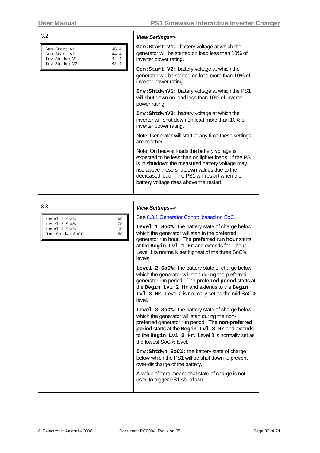| 3.2                                                                                            | <b>View Settings=&gt;</b>                                                                                                                                                                                                                                                                                                                                                                                                                                                                                                                                                                                                                                                                                                                                                                                                                                                                                                                                                                                                                                                                                                                                                    |
|------------------------------------------------------------------------------------------------|------------------------------------------------------------------------------------------------------------------------------------------------------------------------------------------------------------------------------------------------------------------------------------------------------------------------------------------------------------------------------------------------------------------------------------------------------------------------------------------------------------------------------------------------------------------------------------------------------------------------------------------------------------------------------------------------------------------------------------------------------------------------------------------------------------------------------------------------------------------------------------------------------------------------------------------------------------------------------------------------------------------------------------------------------------------------------------------------------------------------------------------------------------------------------|
| 46.4<br>Gen:Start V1<br>44.4<br>Gen:Start V2<br>Inv:Shtdwn V1<br>44.4<br>42.4<br>Inv:Shtdwn V2 | Gen: Start V1: battery voltage at which the<br>generator will be started on load less than 10% of<br>inverter power rating.                                                                                                                                                                                                                                                                                                                                                                                                                                                                                                                                                                                                                                                                                                                                                                                                                                                                                                                                                                                                                                                  |
|                                                                                                | Gen: Start V2: battery voltage at which the<br>generator will be started on load more than 10% of<br>inverter power rating.                                                                                                                                                                                                                                                                                                                                                                                                                                                                                                                                                                                                                                                                                                                                                                                                                                                                                                                                                                                                                                                  |
|                                                                                                | Inv: ShtdwnV1: battery voltage at which the PS1<br>will shut down on load less than 10% of inverter<br>power rating.                                                                                                                                                                                                                                                                                                                                                                                                                                                                                                                                                                                                                                                                                                                                                                                                                                                                                                                                                                                                                                                         |
|                                                                                                | Inv: ShtdwnV2: battery voltage at which the<br>inverter will shut down on load more than 10% of<br>inverter power rating.                                                                                                                                                                                                                                                                                                                                                                                                                                                                                                                                                                                                                                                                                                                                                                                                                                                                                                                                                                                                                                                    |
|                                                                                                | Note: Generator will start at any time these settings<br>are reached.                                                                                                                                                                                                                                                                                                                                                                                                                                                                                                                                                                                                                                                                                                                                                                                                                                                                                                                                                                                                                                                                                                        |
|                                                                                                | Note: On heavier loads the battery voltage is<br>expected to be less than on lighter loads. If the PS1<br>is in shutdown the measured battery voltage may<br>rise above these shutdown values due to the<br>decreased load. The PS1 will restart when the<br>battery voltage rises above the restart.                                                                                                                                                                                                                                                                                                                                                                                                                                                                                                                                                                                                                                                                                                                                                                                                                                                                        |
| 3.3                                                                                            | <b>View Settings=&gt;</b>                                                                                                                                                                                                                                                                                                                                                                                                                                                                                                                                                                                                                                                                                                                                                                                                                                                                                                                                                                                                                                                                                                                                                    |
| 90<br>Level 1 SoC%<br>Level 2 SoC%<br>70<br>Level 3 SoC%<br>60<br>50<br>Inv:Shtdwn SoC%        | See 6.3.1 Generator Control based on SoC.<br>Level 1 soc <sup>®</sup> : the battery state of charge below<br>which the generator will start in the preferred<br>generator run hour. The preferred run hour starts<br>at the Begin Lvl 1 Hr and extends for 1 hour.<br>Level 1 is normally set highest of the three SoC%<br>levels.<br>Level 2 soc <sup>®</sup> : the battery state of charge below<br>which the generator will start during the preferred<br>generator run period. The <b>preferred period</b> starts at<br>the Begin Lv1 2 Hr and extends to the Begin<br>Lv1 3 Hr. Level 2 is normally set as the mid SoC%<br>level.<br>Level 3 soc <sup>8</sup> : the battery state of charge below<br>which the generator will start during the non-<br>preferred generator run period. The non-preferred<br>period starts at the Begin Lvl 3 Hr and extends<br>to the Begin Lv1 2 Hr. Level 3 is normally set as<br>the lowest SoC% level.<br>Inv: Shtdwn SoC%: the battery state of charge<br>below which the PS1 will be shut down to prevent<br>over-discharge of the battery.<br>A value of zero means that state of charge is not<br>used to trigger PS1 shutdown. |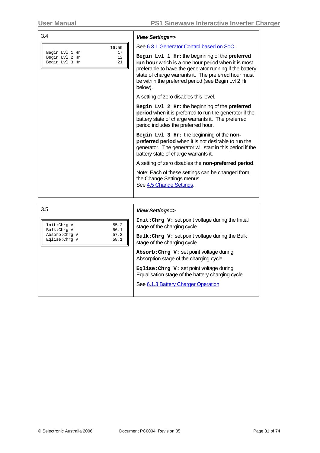| 3.4                                                                           | <b>View Settings=&gt;</b>                                                                                                                                                                                                                                                                                                                                                                                                                                                                                                                                                                                                                                                                                                                                                                                                                                                                                                                                                  |
|-------------------------------------------------------------------------------|----------------------------------------------------------------------------------------------------------------------------------------------------------------------------------------------------------------------------------------------------------------------------------------------------------------------------------------------------------------------------------------------------------------------------------------------------------------------------------------------------------------------------------------------------------------------------------------------------------------------------------------------------------------------------------------------------------------------------------------------------------------------------------------------------------------------------------------------------------------------------------------------------------------------------------------------------------------------------|
| 16:59<br>Begin Lvl 1 Hr<br>17<br>Begin Lvl 2 Hr<br>12<br>21<br>Begin Lvl 3 Hr | See 6.3.1 Generator Control based on SoC.<br>Begin Lv1 1 Hr: the beginning of the preferred<br>run hour which is a one hour period when it is most<br>preferable to have the generator running if the battery<br>state of charge warrants it. The preferred hour must<br>be within the preferred period (see Begin Lvl 2 Hr<br>below).<br>A setting of zero disables this level.<br>Begin Lv1 2 Hr: the beginning of the preferred<br>period when it is preferred to run the generator if the<br>battery state of charge warrants it. The preferred<br>period includes the preferred hour.<br>Begin Lvl 3 Hr: the beginning of the non-<br>preferred period when it is not desirable to run the<br>generator. The generator will start in this period if the<br>battery state of charge warrants it.<br>A setting of zero disables the non-preferred period.<br>Note: Each of these settings can be changed from<br>the Change Settings menus.<br>See 4.5 Change Settings. |
| 3.5                                                                           | <b>View Settings=&gt;</b>                                                                                                                                                                                                                                                                                                                                                                                                                                                                                                                                                                                                                                                                                                                                                                                                                                                                                                                                                  |

**Init:Chrg V:** set point voltage during the Initial

**Bulk:Chrg V:** set point voltage during the Bulk

**Absorb:Chrg V:** set point voltage during Absorption stage of the charging cycle. **Eqlise:Chrg V:** set point voltage during Equalisation stage of the battery charging cycle.

See [6.1.3](#page-47-0) [Battery Charger Operation](#page-47-0)

stage of the charging cycle.

stage of the charging cycle.

Init:Chrg V 55.2<br>Bulk:Chrg V 56.1 Bulk:Chrg V 56.1<br>Absorb:Chrq V 57.2 Absorb:Chrg V 57.2<br>Eqlise:Chrg V 58.1

Eqlise:Chrg V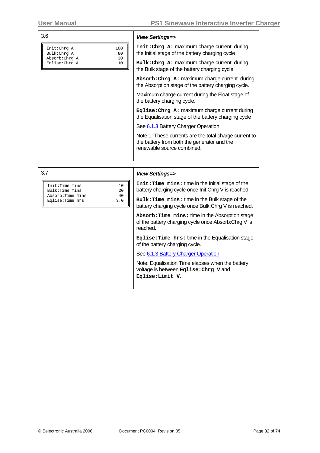| 3.6                                                                                       | <b>View Settings=&gt;</b>                                                                                                           |
|-------------------------------------------------------------------------------------------|-------------------------------------------------------------------------------------------------------------------------------------|
| Init: Chrg A<br>100<br>Bulk: Chrq A<br>80<br>Absorb: Chrq A<br>30<br>Eqlise: Chrg A<br>10 | Init: Chrg A: maximum charge current during<br>the Initial stage of the battery charging cycle                                      |
|                                                                                           | Bulk: Chrg A: maximum charge current during<br>the Bulk stage of the battery charging cycle                                         |
|                                                                                           | Absorb: Chrg A: maximum charge current during<br>the Absorption stage of the battery charging cycle.                                |
|                                                                                           | Maximum charge current during the Float stage of<br>the battery charging cycle.                                                     |
|                                                                                           | $\texttt{Eglise:Chrg A:}$ maximum charge current during<br>the Equalisation stage of the battery charging cycle                     |
|                                                                                           | See 6.1.3 Battery Charger Operation                                                                                                 |
|                                                                                           | Note 1: These currents are the total charge current to<br>the battery from both the generator and the<br>renewable source combined. |
|                                                                                           |                                                                                                                                     |
| $\sim$ $\rightarrow$                                                                      |                                                                                                                                     |

|          | <b>View Settings=&gt;</b>                                                                                           |
|----------|---------------------------------------------------------------------------------------------------------------------|
| 10<br>20 | Init: Time mins: time in the Initial stage of the<br>battery charging cycle once Init: Chrg V is reached.           |
| 3.0      | Bulk: Time mins: time in the Bulk stage of the<br>battery charging cycle once Bulk: Chrg V is reached.              |
|          | Absorb: Time mins: time in the Absorption stage<br>of the battery charging cycle once Absorb: Chrg V is<br>reached. |
|          | Eqlise: Time hrs: time in the Equalisation stage<br>of the battery charging cycle.                                  |
|          | See 6.1.3 Battery Charger Operation                                                                                 |
|          | Note: Equalisation Time elapses when the battery<br>voltage is between Eqlise: Chrg V and<br>Eqlise: Limit V.       |
|          | 40                                                                                                                  |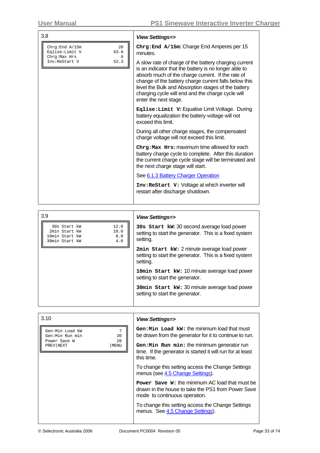| 3.8                                                                    | <b>View Settings=&gt;</b>                                                                                                                                                                                                                                                                                                                                         |
|------------------------------------------------------------------------|-------------------------------------------------------------------------------------------------------------------------------------------------------------------------------------------------------------------------------------------------------------------------------------------------------------------------------------------------------------------|
| Chrg: End A/15m<br>20<br>Eqlise: Limit V<br>63.6<br>Chrg: Max Hrs<br>6 | Chrg: End A/15m: Charge End Amperes per 15<br>minutes.                                                                                                                                                                                                                                                                                                            |
| 52.3<br>Inv:ReStart V                                                  | A slow rate of charge of the battery charging current<br>is an indicator that the battery is no longer able to<br>absorb much of the charge current. If the rate of<br>change of the battery charge current falls below this<br>level the Bulk and Absorption stages of the battery<br>charging cycle will end and the charge cycle will<br>enter the next stage. |
|                                                                        | Eqlise: Limit V: Equalise Limit Voltage. During<br>battery equalization the battery voltage will not<br>exceed this limit.                                                                                                                                                                                                                                        |
|                                                                        | During all other charge stages, the compensated<br>charge voltage will not exceed this limit.                                                                                                                                                                                                                                                                     |
|                                                                        | Chrg: Max Hrs: maximum time allowed for each<br>battery charge cycle to complete. After this duration<br>the current charge cycle stage will be terminated and<br>the next charge stage will start.                                                                                                                                                               |
|                                                                        | See 6.1.3 Battery Charger Operation                                                                                                                                                                                                                                                                                                                               |
|                                                                        | Inv: ReStart V: Voltage at which inverter will<br>restart after discharge shutdown.                                                                                                                                                                                                                                                                               |

| 3.9            |      |
|----------------|------|
| 30s Start kW   | 12.0 |
| 2min Start kW  | 10.0 |
| 10min Start kW | 8.0  |
| 30min Start kW | 4.0  |

#### 3.9 *View Settings=>*

**30s Start kW:** 30 second average load power setting to start the generator. This is a fixed system setting.

**2min Start kW:** 2 minute average load power setting to start the generator. This is a fixed system setting.

**10min Start kW:** 10 minute average load power setting to start the generator.

**30min Start kW:** 30 minute average load power setting to start the generator.

| 3.10                                                                                     | <b>View Settings=&gt;</b>                                                                                                                                 |
|------------------------------------------------------------------------------------------|-----------------------------------------------------------------------------------------------------------------------------------------------------------|
| 7<br>Gen:Min Load kW<br>30<br>Gen:Min Run min<br>20<br>Power Save W<br>MENU<br>PREV NEXT | $Gen: Min$ Load $kw:$ the minimum load that must<br>be drawn from the generator for it to continue to run.<br>Gen: Min Run min: the minimum generator run |
|                                                                                          | time. If the generator is started it will run for at least<br>this time.                                                                                  |
|                                                                                          | To change this setting access the Change Settings<br>menus (see 4.5 Change Settings).                                                                     |
|                                                                                          | <b>Power</b> Save W: the minimum AC load that must be<br>drawn in the house to take the PS1 from Power Save<br>mode to continuous operation.              |
|                                                                                          | To change this setting access the Change Settings<br>menus. See 4.5 Change Settings).                                                                     |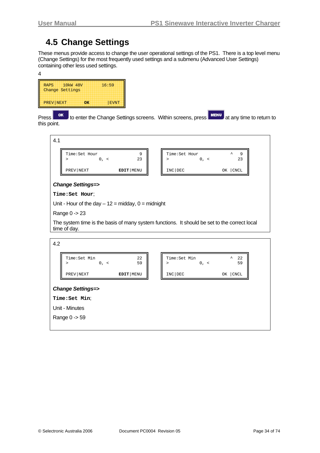### <span id="page-33-0"></span>**4.5 Change Settings**

These menus provide access to change the user operational settings of the PS1. There is a top level menu (Change Settings) for the most frequently used settings and a submenu (Advanced User Settings) containing other less used settings.

| <b>RAPS</b><br>Change Settings | 10 <sub>kW</sub> 48V |    | 16:59 |
|--------------------------------|----------------------|----|-------|
| PREV NEXT                      |                      | OK | EVNT  |

Press **or** to enter the Change Settings screens. Within screens, press **MENU** at any time to return to this point.



#### *Change Settings=>*

**Time:Set Hour**;

Unit - Hour of the day  $-12$  = midday, 0 = midnight

Range 0 -> 23

The system time is the basis of many system functions. It should be set to the correct local time of day.

| 4.2                                  |             |                         |                                              |
|--------------------------------------|-------------|-------------------------|----------------------------------------------|
| Time: Set Min<br>$0, \leq$<br>$\geq$ | 22<br>59    | Time: Set Min<br>$\geq$ | $\hat{\phantom{a}}$<br>22<br>59<br>$0, \leq$ |
| PREV NEXT                            | EDIT   MENU | INC DEC                 | OK   CNCL                                    |
| <b>Change Settings=&gt;</b>          |             |                         |                                              |
| Time: Set Min;                       |             |                         |                                              |
| Unit - Minutes                       |             |                         |                                              |
| Range 0 -> 59                        |             |                         |                                              |
|                                      |             |                         |                                              |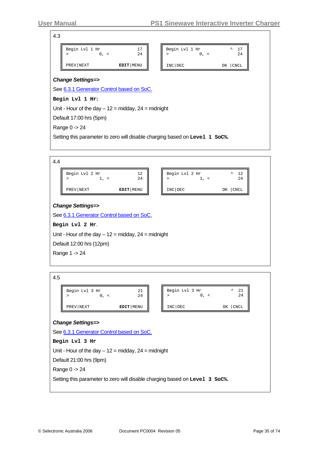4.3

| PREV NEXT                   | EDIT MENU | INC DEC                     | CNCL<br>OΚ    |
|-----------------------------|-----------|-----------------------------|---------------|
| Begin Lvl 1 Hr<br>$0, \leq$ | 17<br>24  | Begin Lvl 1 Hr<br>$0, \leq$ | ᄉ<br>17<br>24 |

See [6.3.1 Generator Control based on SoC](#page-50-0).

**Begin Lvl 1 Hr:**

Unit - Hour of the day  $-12$  = midday,  $24$  = midnight

Default 17:00 hrs (5pm)

Range 0 -> 24

Setting this parameter to zero will disable charging based on **Level 1 SoC%.**



4.5

| Begin Lvl 3 Hr | 2.4       | Begin L |
|----------------|-----------|---------|
| PREV NEXT      | EDIT MENU | INC DEO |

| Begin Lvl 3 Hr | 21        |
|----------------|-----------|
| $0, \leq$      | ᄉ         |
| ↘              | 2.4       |
| INC DEC        | OK   CNCL |

#### *Change Settings=>*

See [6.3.1 Generator Control based on SoC.](#page-50-0) **Begin Lvl 3 Hr** Unit - Hour of the day  $-12$  = midday,  $24$  = midnight Default 21:00 hrs (9pm) Range 0 -> 24 Setting this parameter to zero will disable charging based on **Level 3 SoC%.**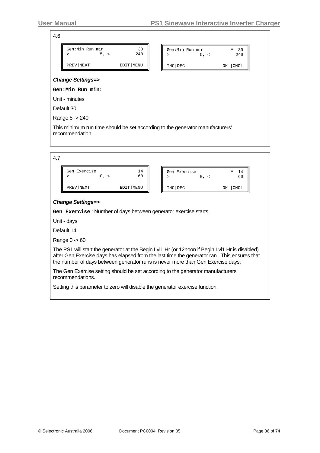4.6

| Gen:Min Run min<br>30<br>240<br>5, <<br>>                                                        | ⋗       | Gen:Min Run min<br>5, < | ᄾ<br>30<br>240 |
|--------------------------------------------------------------------------------------------------|---------|-------------------------|----------------|
| EDIT MENU<br>PREV NEXT                                                                           | INC DEC |                         | OK   CNCL      |
| <b>Change Settings=&gt;</b>                                                                      |         |                         |                |
| <b>Gen:Min Run min:</b>                                                                          |         |                         |                |
| Unit - minutes                                                                                   |         |                         |                |
| Default 30                                                                                       |         |                         |                |
| Range 5 -> 240                                                                                   |         |                         |                |
| This minimum run time should be set according to the generator manufacturers'<br>recommendation. |         |                         |                |

| Gen Exercise | 14<br>60  | Gen Exercise | ᄉ<br>60           |
|--------------|-----------|--------------|-------------------|
| PREV NEXT    | EDIT MENU | INC DEC      | <b>CNCL</b><br>OΚ |

#### *Change Settings=>*

**Gen Exercise** : Number of days between generator exercise starts.

Unit - days

Default 14

Range 0 -> 60

The PS1 will start the generator at the Begin Lvl1 Hr (or 12noon if Begin Lvl1 Hr is disabled) after Gen Exercise days has elapsed from the last time the generator ran. This ensures that the number of days between generator runs is never more than Gen Exercise days.

The Gen Exercise setting should be set according to the generator manufacturers' recommendations.

Setting this parameter to zero will disable the generator exercise function.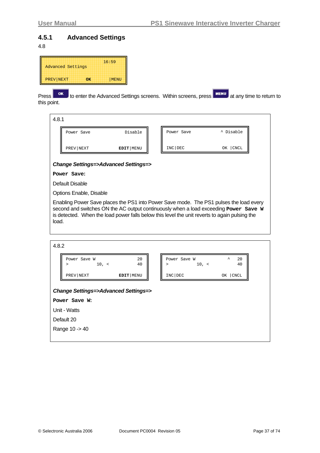### <span id="page-36-0"></span>**4.5.1 Advanced Settings**

#### 4.8

| <b>Advanced Settings</b> |    | 16:59 |
|--------------------------|----|-------|
| PREV NEXT                | ОΚ | MENU  |

Press **ok** to enter the Advanced Settings screens. Within screens, press **MENU** at any time to return to this point.

4.8.1 Power Save Disable PREV|NEXT **EDIT**|MENU Power Save **A** Disable INC|DEC OK |CNCL

#### *Change Settings=>Advanced Settings=>*

**Power Save:** 

Default Disable

Options Enable, Disable

Enabling Power Save places the PS1 into Power Save mode. The PS1 pulses the load every second and switches ON the AC output continuously when a load exceeding **Power Save W** is detected. When the load power falls below this level the unit reverts to again pulsing the load.

| 4.8.2                                                              |             |                                      |                                    |
|--------------------------------------------------------------------|-------------|--------------------------------------|------------------------------------|
| Power Save W<br>10, <<br>$\geq$                                    | 20<br>40    | Power Save W<br>$10, \leq$<br>$\geq$ | $\boldsymbol{\lambda}$<br>20<br>40 |
| PREV NEXT                                                          | EDIT   MENU | INC DEC                              | OK   CNCL                          |
| <b>Change Settings=&gt;Advanced Settings=&gt;</b><br>Power Save W: |             |                                      |                                    |
| Unit - Watts                                                       |             |                                      |                                    |
| Default 20                                                         |             |                                      |                                    |
| Range 10 -> 40                                                     |             |                                      |                                    |
|                                                                    |             |                                      |                                    |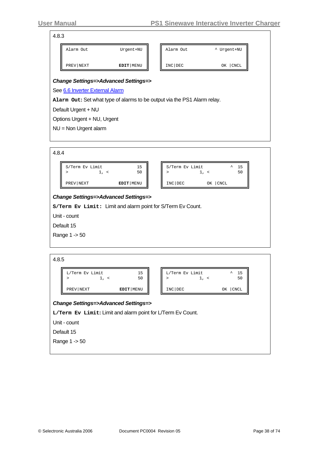#### 4.8.3

|                        |         | ^ Urgent+NU    |
|------------------------|---------|----------------|
| EDIT MENU<br>PREV NEXT | INC DEC | $ $ CNCL<br>OΚ |

See [6.6 Inverter External Alarm](#page-55-0)

**Alarm Out:** Set what type of alarms to be output via the PS1 Alarm relay.

Default Urgent + NU

Options Urgent + NU, Urgent

NU = Non Urgent alarm

| S/Term Ev Limit                                   | $1, \leq$ | 15<br>50    | S/Term Ev Limit                                             | $1, \le$ | $\lambda$<br>- 15<br>50 |
|---------------------------------------------------|-----------|-------------|-------------------------------------------------------------|----------|-------------------------|
| PREV NEXT                                         |           | EDIT   MENU | INC DEC                                                     | OК       | CNCL                    |
| <b>Change Settings=&gt;Advanced Settings=&gt;</b> |           |             |                                                             |          |                         |
|                                                   |           |             | S/Term Ev Limit: Limit and alarm point for S/Term Ev Count. |          |                         |
|                                                   |           |             |                                                             |          |                         |

Default 15

Range 1 -> 50

| 4.8.5                                             |                                                             |             |  |                                   |               |  |
|---------------------------------------------------|-------------------------------------------------------------|-------------|--|-----------------------------------|---------------|--|
|                                                   | L/Term Ev Limit<br>1, <<br>>                                | 15<br>50    |  | L/Term Ev Limit<br>$1, \leq$<br>⋗ | ᄉ<br>15<br>50 |  |
|                                                   | PREV NEXT                                                   | EDIT   MENU |  | INC DEC                           | OK   CNCL     |  |
| <b>Change Settings=&gt;Advanced Settings=&gt;</b> |                                                             |             |  |                                   |               |  |
|                                                   | L/Term Ev Limit: Limit and alarm point for L/Term Ev Count. |             |  |                                   |               |  |
|                                                   | Unit - count                                                |             |  |                                   |               |  |
|                                                   | Default 15                                                  |             |  |                                   |               |  |
|                                                   | Range 1 -> 50                                               |             |  |                                   |               |  |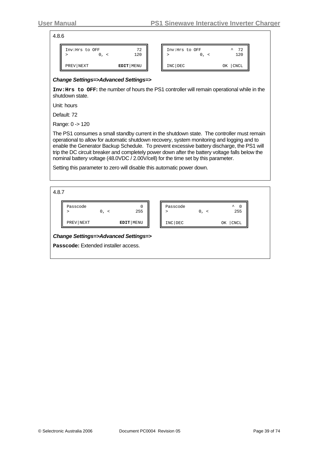4.8.6

| Inv:Hrs to OFF | 72<br>120 | Inv:Hrs to OFF | 70<br>ᄉ<br>▵<br>120 |
|----------------|-----------|----------------|---------------------|
| PREV NEXT      | EDIT MENU | INC DEC        | <b>CNCL</b><br>OΚ   |

#### *Change Settings=>Advanced Settings=>*

**Inv:Hrs to OFF:** the number of hours the PS1 controller will remain operational while in the shutdown state.

Unit: hours

Default: 72

Range: 0 -> 120

The PS1 consumes a small standby current in the shutdown state. The controller must remain operational to allow for automatic shutdown recovery, system monitoring and logging and to enable the Generator Backup Schedule. To prevent excessive battery discharge, the PS1 will trip the DC circuit breaker and completely power down after the battery voltage falls below the nominal battery voltage (48.0VDC / 2.00V/cell) for the time set by this parameter.

Setting this parameter to zero will disable this automatic power down.

4.8.7

| Passcode  | $0, \leq$ | 0<br>255  | Passcode | $0, \leq$ | ᄉ<br>$\Omega$<br>255 |
|-----------|-----------|-----------|----------|-----------|----------------------|
| PREV NEXT |           | EDIT MENU | INC DEC  |           | CNCL<br>ΟK           |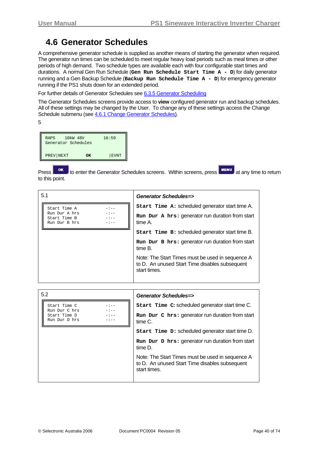## <span id="page-39-0"></span>**4.6 Generator Schedules**

A comprehensive generator schedule is supplied as another means of starting the generator when required. The generator run times can be scheduled to meet regular heavy load periods such as meal times or other periods of high demand. Two schedule types are available each with four configurable start times and durations. A normal Gen Run Schedule (**Gen Run Schedule Start Time A - D**) for daily generator running and a Gen Backup Schedule (**Backup Run Schedule Time A - D**) for emergency generator running if the PS1 shuts down for an extended period.

For further details of Generator Schedules see [6.3.5 Generator Scheduling](#page-54-0)

The Generator Schedules screens provide access to **view** configured generator run and backup schedules. All of these settings may be changed by the User. To change any of these settings access the Change Schedule submenu (see [4.6.1](#page-41-0) [Change Generator Schedules](#page-41-0)).

5

| <b>RAPS</b>         | 10 <sub>kW</sub> 48V | 16:59       |
|---------------------|----------------------|-------------|
| Generator Schedules |                      |             |
|                     |                      |             |
| PREV NEXT           | OK                   | <b>EVNT</b> |

Press **ok** to enter the Generator Schedules screens. Within screens, press **FINERIU** at any time to return to this point.

| 5.1                                                                           | <b>Generator Schedules=&gt;</b>                                                                                    |
|-------------------------------------------------------------------------------|--------------------------------------------------------------------------------------------------------------------|
| Start Time A<br>$-:--$                                                        | Start Time A: scheduled generator start time A.                                                                    |
| $-:--$<br>Run Dur A hrs<br>$-:-$<br>Start Time B<br>Run Dur B hrs<br>$-1 - -$ | Run Dur A hrs: generator run duration from start<br>time A.                                                        |
|                                                                               | Start Time B: scheduled generator start time B.                                                                    |
|                                                                               | Run Dur B hrs: generator run duration from start<br>time B.                                                        |
|                                                                               | Note: The Start Times must be used in sequence A<br>to D. An unused Start Time disables subsequent<br>start times. |

| 5.2                           |                  | <b>Generator Schedules=&gt;</b>                                                                                    |
|-------------------------------|------------------|--------------------------------------------------------------------------------------------------------------------|
| Start Time C<br>Run Dur C hrs | $-:--$<br>$-:--$ | <b>Start Time C: scheduled generator start time C.</b>                                                             |
| Start Time D<br>Run Dur D hrs | $-1 - -$         | Run Dur C hrs: generator run duration from start<br>time C.                                                        |
|                               |                  | Start Time D: scheduled generator start time D.                                                                    |
|                               |                  | Run Dur D hrs: generator run duration from start<br>time D.                                                        |
|                               |                  | Note: The Start Times must be used in sequence A<br>to D. An unused Start Time disables subsequent<br>start times. |
|                               |                  |                                                                                                                    |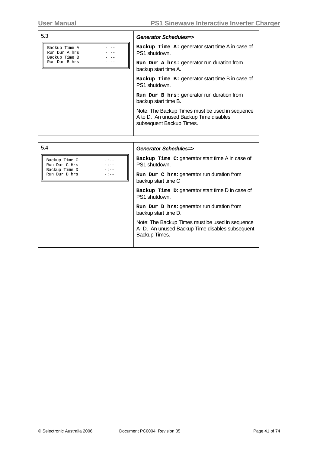| 5.3                                                                         | Generator Schedules=>                                                                                                 |
|-----------------------------------------------------------------------------|-----------------------------------------------------------------------------------------------------------------------|
| Backup Time A<br>$-:--$<br>Run Dur A hrs<br>$-:-$<br>Backup Time B<br>$-:-$ | Backup $Time A: generator start time A in case of$<br>PS1 shutdown.                                                   |
| Run Dur B hrs                                                               | Run Dur A hrs: generator run duration from<br>backup start time A.                                                    |
|                                                                             | Backup Time B: generator start time B in case of<br>PS1 shutdown.                                                     |
|                                                                             | Run Dur B hrs: generator run duration from<br>backup start time B.                                                    |
|                                                                             | Note: The Backup Times must be used in sequence<br>A to D. An unused Backup Time disables<br>subsequent Backup Times. |
|                                                                             |                                                                                                                       |
| 5.4                                                                         | Generator Schedules=>                                                                                                 |
| Backup Time C<br>$-1 - -$<br>Run Dur C Hrs<br>Backup Time D                 | Backup Time C: generator start time A in case of<br>PS1 shutdown.                                                     |
| Run Dur D hrs                                                               | Run Dur C hrs: generator run duration from                                                                            |

backup start time C

backup start time D.

PS1 shutdown.

Backup Times.

**Backup Time D:** generator start time D in case of

Note: The Backup Times must be used in sequence A- D. An unused Backup Time disables subsequent

**Run Dur D hrs:** generator run duration from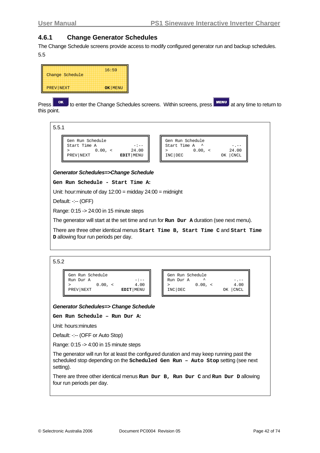#### <span id="page-41-0"></span>**4.6.1 Change Generator Schedules**

The Change Schedule screens provide access to modify configured generator run and backup schedules. 5.5



Press **or** to enter the Change Schedules screens. Within screens, press **KING MENU** at any time to return to this point.



Default: -:-- (OFF)

Range: 0:15 -> 24:00 in 15 minute steps

The generator will start at the set time and run for **Run Dur A** duration (see next menu).

There are three other identical menus **Start Time B, Start Time C** and **Start Time D** allowing four run periods per day.

5.5.2

| Gen Run Schedule |           | Gen Run Schedule |      |
|------------------|-----------|------------------|------|
| Run Dur A        | $-:-$     | Run Dur A        |      |
| 0.00.            | 4.00      | $0.00$ ,         | 4.00 |
| PREV NEXT        | EDIT MENU | INC DEC          | CNCL |

*Generator Schedules=> Change Schedule* 

#### **Gen Run Schedule – Run Dur A:**

Unit: hours:minutes

Default: -:-- (OFF or Auto Stop)

Range: 0:15 -> 4:00 in 15 minute steps

The generator will run for at least the configured duration and may keep running past the scheduled stop depending on the **Scheduled Gen Run – Auto Stop** setting (see next setting).

There are three other identical menus **Run Dur B, Run Dur C** and **Run Dur D** allowing four run periods per day.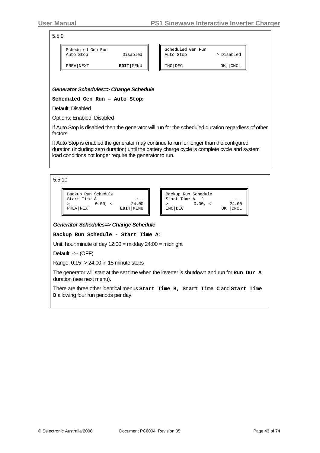INC|DEC OK |CNCL

| 5.5.9 |                                |          |                                |            |
|-------|--------------------------------|----------|--------------------------------|------------|
|       | Scheduled Gen Run<br>Auto Stop | Disabled | Scheduled Gen Run<br>Auto Stop | ^ Disabled |

*Generator Schedules=> Change Schedule* 

PREV|NEXT **EDIT**|MENU

**Scheduled Gen Run – Auto Stop:** 

Default: Disabled

Options: Enabled, Disabled

If Auto Stop is disabled then the generator will run for the scheduled duration regardless of other factors.

If Auto Stop is enabled the generator may continue to run for longer than the configured duration (including zero duration) until the battery charge cycle is complete cycle and system load conditions not longer require the generator to run.

| 5.5.10 |  |
|--------|--|
|--------|--|

| Backup Run Schedule |         |             |
|---------------------|---------|-------------|
| Start Time A        |         | $-1 - -$    |
|                     | 0.00. < | 24.00       |
| PREV NEXT           |         | EDIT   MENU |
|                     |         |             |

| Backup Run Schedule |         | $\begin{bmatrix} - & - \\ 24 & 00 \\ 0K &  CNCL \end{bmatrix}$ |
|---------------------|---------|----------------------------------------------------------------|
| Start Time A        |         |                                                                |
|                     | 0.00. < |                                                                |
| INC DEC             |         |                                                                |

#### *Generator Schedules=> Change Schedule*

**Backup Run Schedule - Start Time A:** 

Unit: hour:minute of day 12:00 = midday 24:00 = midnight

Default: -:-- (OFF)

Range: 0:15 -> 24:00 in 15 minute steps

The generator will start at the set time when the inverter is shutdown and run for **Run Dur A** duration (see next menu).

There are three other identical menus **Start Time B, Start Time C** and **Start Time D** allowing four run periods per day.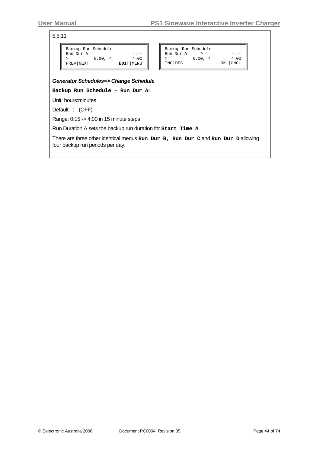5.5.11

| Backup Run Schedule |             |           |
|---------------------|-------------|-----------|
| Run Dur A           |             |           |
|                     | $0.00, \le$ | 4.00      |
| PREV NEXT           |             | EDIT MENU |
|                     |             |           |

| Backup Run Schedule<br>Run Dur A |             |           |
|----------------------------------|-------------|-----------|
|                                  | $0.00, \le$ | 4.00      |
| INC DEC                          |             | OK   CNCL |

# *Generator Schedules=> Change Schedule*

**Backup Run Schedule – Run Dur A:**

Unit: hours:minutes

Default: -:-- (OFF)

Range: 0:15 -> 4:00 in 15 minute steps

Run Duration A sets the backup run duration for **Start Time A**.

There are three other identical menus **Run Dur B, Run Dur C** and **Run Dur D** allowing four backup run periods per day.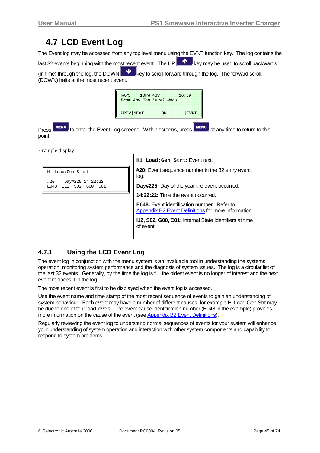## <span id="page-44-0"></span>**4.7 LCD Event Log**

The Event log may be accessed from any top level menu using the EVNT function key. The log contains the last 32 events beginning with the most recent event. The UP  $\blacksquare$  key may be used to scroll backwards

(in time) through the log, the DOWN  $\mathbf{R}$  key to scroll forward through the log. The forward scroll, (DOWN) halts at the most recent event.

| <b>RAPS</b> | 10 <sub>kW</sub> 48V    |             | 16:59       |
|-------------|-------------------------|-------------|-------------|
|             | From Any Top Level Menu |             |             |
|             |                         |             |             |
| PREV NEXT   |                         | $\bigcap K$ | <b>EVNT</b> |

Press MENU to enter the Event Log screens. Within screens, press MENU at any time to return to this point.

Example display

|                                                                                                               | Hi Load: Gen Strt: Event text.                                                                            |  |  |  |
|---------------------------------------------------------------------------------------------------------------|-----------------------------------------------------------------------------------------------------------|--|--|--|
| Hi Load:Gen Start                                                                                             | <b>#20:</b> Event sequence number in the 32 entry event<br>log.                                           |  |  |  |
| #20<br>Day#225 14:22:22<br>Day#225: Day of the year the event occurred.<br>S02<br>E048<br>T 1 2<br>C01<br>G00 |                                                                                                           |  |  |  |
|                                                                                                               | 14:22:22: Time the event occurred.                                                                        |  |  |  |
|                                                                                                               | <b>E048:</b> Event identification number. Refer to<br>Appendix B2 Event Definitions for more information. |  |  |  |
|                                                                                                               | 112, S02, G00, C01: Internal State Identifiers at time<br>of event.                                       |  |  |  |
|                                                                                                               |                                                                                                           |  |  |  |

## **4.7.1 Using the LCD Event Log**

The event log in conjunction with the menu system is an invaluable tool in understanding the systems operation, monitoring system performance and the diagnosis of system issues. The log is a circular list of the last 32 events. Generally, by the time the log is full the oldest event is no longer of interest and the next event replaces it in the log.

The most recent event is first to be displayed when the event log is accessed.

Use the event name and time stamp of the most recent sequence of events to gain an understanding of system behaviour. Each event may have a number of different causes, for example Hi Load Gen Strt may be due to one of four load levels. The event cause identification number (E048 in the example) provides more information on the cause of the event (see Appendix [B2](#page-68-0) [Event Definitions](#page-68-0)).

Regularly reviewing the event log to understand normal sequences of events for your system will enhance your understanding of system operation and interaction with other system components and capability to respond to system problems.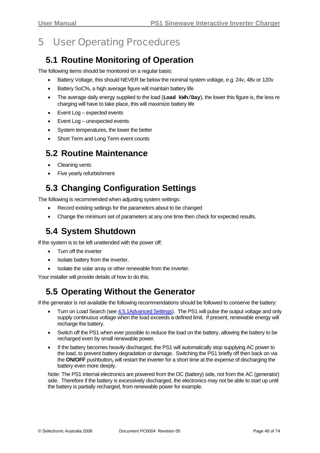# 5 User Operating Procedures

## **5.1 Routine Monitoring of Operation**

The following items should be monitored on a regular basis:

- Battery Voltage, this should NEVER be below the nominal system voltage, e.g. 24v, 48v or 120v
- Battery SoC%, a high average figure will maintain battery life
- The average daily energy supplied to the load (**Load kWh/Day**), the lower this figure is, the less re charging will have to take place, this will maximize battery life
- Event Log expected events
- Event Log unexpected events
- System temperatures, the lower the better
- Short Term and Long Term event counts

## **5.2 Routine Maintenance**

- Cleaning vents
- Five yearly refurbishment

## **5.3 Changing Configuration Settings**

The following is recommended when adjusting system settings:

- Record existing settings for the parameters about to be changed
- Change the minimum set of parameters at any one time then check for expected results.

## **5.4 System Shutdown**

If the system is to be left unattended with the power off:

- Turn off the inverter
- Isolate battery from the inverter.
- Isolate the solar array or other renewable from the inverter.

Your installer will provide details of how to do this.

## **5.5 Operating Without the Generator**

If the generator is not available the following recommendations should be followed to conserve the battery:

- Turn on Load Search (see [4.5.1Advanced Settings\)](#page-36-0). The PS1 will pulse the output voltage and only supply continuous voltage when the load exceeds a defined limit. If present, renewable energy will recharge the battery.
- Switch off the PS1 when ever possible to reduce the load on the battery, allowing the battery to be recharged even by small renewable power.
- If the battery becomes heavily discharged, the PS1 will automatically stop supplying AC power to the load, to prevent battery degradation or damage. Switching the PS1 briefly off then back on via the **ON/OFF** pushbutton**,** will restart the inverter for a short time at the expense of discharging the battery even more deeply.

Note: The PS1 internal electronics are powered from the DC (battery) side, not from the AC (generator) side. Therefore if the battery is excessively discharged, the electronics may not be able to start up until the battery is partially recharged, from renewable power for example.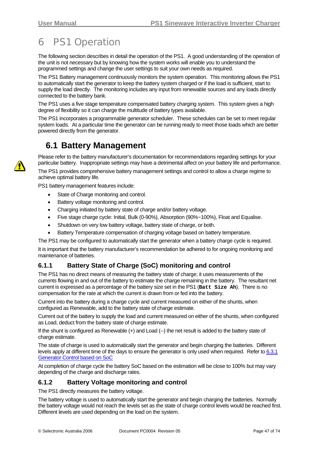# <span id="page-46-0"></span>6 PS1 Operation

The following section describes in detail the operation of the PS1. A good understanding of the operation of the unit is not necessary but by knowing how the system works will enable you to understand the programmed settings and change the user settings to suit your own needs as required.

The PS1 Battery management continuously monitors the system operation. This monitoring allows the PS1 to automatically start the generator to keep the battery system charged or if the load is sufficient, start to supply the load directly. The monitoring includes any input from renewable sources and any loads directly connected to the battery bank.

The PS1 uses a five stage temperature compensated battery charging system. This system gives a high degree of flexibility so it can charge the multitude of battery types available.

The PS1 incorporates a programmable generator scheduler. These schedules can be set to meet regular system loads. At a particular time the generator can be running ready to meet those loads which are better powered directly from the generator.

## **6.1 Battery Management**

Please refer to the battery manufacturer's documentation for recommendations regarding settings for your particular battery. Inappropriate settings may have a detrimental affect on your battery life and performance.

The PS1 provides comprehensive battery management settings and control to allow a charge regime to achieve optimal battery life.

PS1 battery management features include:

- State of Charge monitoring and control.
- Battery voltage monitoring and control.
- Charging initiated by battery state of charge and/or battery voltage.
- Five stage charge cycle: Initial, Bulk (0-90%), Absorption (90%~100%), Float and Equalise.
- Shutdown on very low battery voltage, battery state of charge, or both.
- Battery Temperature compensation of charging voltage based on battery temperature.

The PS1 may be configured to automatically start the generator when a battery charge cycle is required.

It is important that the battery manufacturer's recommendation be adhered to for ongoing monitoring and maintenance of batteries.

### **6.1.1 Battery State of Charge (SoC) monitoring and control**

The PS1 has no direct means of measuring the battery state of charge; it uses measurements of the currents flowing in and out of the battery to estimate the charge remaining in the battery. The resultant net current is expressed as a percentage of the battery size set in the PS1 (**Batt Size Ah**). There is no compensation for the rate at which the current is drawn from or fed into the battery.

Current into the battery during a charge cycle and current measured on either of the shunts, when configured as Renewable, add to the battery state of charge estimate.

Current out of the battery to supply the load and current measured on either of the shunts, when configured as Load, deduct from the battery state of charge estimate.

If the shunt is configured as Renewable (+) and Load (--) the net result is added to the battery state of charge estimate.

The state of charge is used to automatically start the generator and begin charging the batteries. Different levels apply at different time of the days to ensure the generator is only used when required. Refer to [6.3.1](#page-50-0) [Generator Control based on SoC](#page-50-0)

At completion of charge cycle the battery SoC based on the estimation will be close to 100% but may vary depending of the charge and discharge rates.

#### **6.1.2 Battery Voltage monitoring and control**

The PS1 directly measures the battery voltage.

The battery voltage is used to automatically start the generator and begin charging the batteries. Normally the battery voltage would not reach the levels set as the state of charge control levels would be reached first. Different levels are used depending on the load on the system.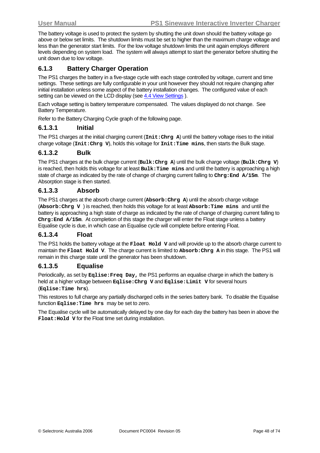The battery voltage is used to protect the system by shutting the unit down should the battery voltage go above or below set limits. The shutdown limits must be set to higher than the maximum charge voltage and less than the generator start limits. For the low voltage shutdown limits the unit again employs different levels depending on system load. The system will always attempt to start the generator before shutting the unit down due to low voltage.

### **6.1.3 Battery Charger Operation**

The PS1 charges the battery in a five-stage cycle with each stage controlled by voltage, current and time settings. These settings are fully configurable in your unit however they should not require changing after initial installation unless some aspect of the battery installation changes. The configured value of each setting can be viewed on the LCD display (see 4.4 View Settings).

Each voltage setting is battery temperature compensated. The values displayed do not change. See Battery Temperature.

Refer to the Battery Charging Cycle graph of the following page.

#### **6.1.3.1 Initial**

The PS1 charges at the initial charging current (**Init:Chrg A**) until the battery voltage rises to the initial charge voltage (**Init:Chrg V**), holds this voltage for **Init:Time mins**, then starts the Bulk stage.

#### **6.1.3.2 Bulk**

The PS1 charges at the bulk charge current (**Bulk:Chrg A**) until the bulk charge voltage (**Bulk:Chrg V**) is reached, then holds this voltage for at least **Bulk:Time mins** and until the battery is approaching a high state of charge as indicated by the rate of change of charging current falling to **Chrg:End A/15m**. The Absorption stage is then started.

#### **6.1.3.3 Absorb**

The PS1 charges at the absorb charge current (**Absorb:Chrg A**) until the absorb charge voltage (**Absorb:Chrg V** ) is reached, then holds this voltage for at least **Absorb:Time mins** and until the battery is approaching a high state of charge as indicated by the rate of change of charging current falling to **Chrg:End A/15m**. At completion of this stage the charger will enter the Float stage unless a battery Equalise cycle is due, in which case an Equalise cycle will complete before entering Float.

#### **6.1.3.4 Float**

The PS1 holds the battery voltage at the **Float Hold V** and will provide up to the absorb charge current to maintain the **Float Hold V**. The charge current is limited to **Absorb:Chrg A** in this stage. The PS1 will remain in this charge state until the generator has been shutdown.

#### **6.1.3.5 Equalise**

Periodically, as set by **Eqlise:Freq Day,** the PS1 performs an equalise charge in which the battery is held at a higher voltage between **Eqlise:Chrg V** and **Eqlise:Limit V** for several hours (**Eqlise:Time hrs**).

This restores to full charge any partially discharged cells in the series battery bank. To disable the Equalise function **Eqlise:Time hrs** may be set to zero.

The Equalise cycle will be automatically delayed by one day for each day the battery has been in above the **Float:Hold V** for the Float time set during installation.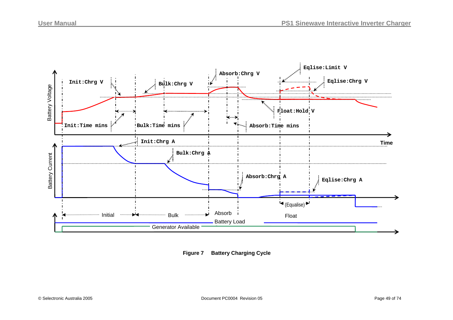

**Figure 7 Battery Charging Cycle**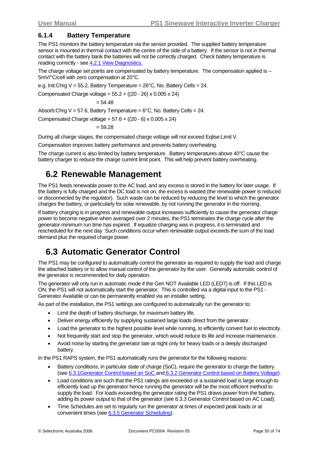### **6.1.4 Battery Temperature**

The PS1 monitors the battery temperature via the sensor provided. The supplied battery temperature sensor is mounted in thermal contact with the centre of the side of a battery. If the sensor is not in thermal contact with the battery bank the batteries will not be correctly charged. Check battery temperature is reading correctly - see [4.2.1 View Diagnostics](#page-23-0).

The charge voltage set points are compensated by battery temperature. The compensation applied is -- 5mV/°C/cell with zero compensation at 20°C.

e.g. Init:Chrg  $V = 55.2$ , Battery Temperature =  $26^{\circ}$ C, No. Battery Cells = 24.

Compensated Charge voltage = 55.2 + ((20 - 26) x 0.005 x 24)

$$
=54.48
$$

Absorb:Chrg  $V = 57.6$ , Battery Temperature =  $6^{\circ}$ C, No. Battery Cells = 24.

Compensated Charge voltage =  $57.6 + ((20 - 6) \times 0.005 \times 24)$ 

 $= 59.28$ 

During all charge stages, the compensated charge voltage will not exceed Eqlise:Limit V.

Compensation improves battery performance and prevents battery overheating.

The charge current is also limited by battery temperature. Battery temperatures above 40°C cause the battery charger to reduce the charge current limit point. This will help prevent battery overheating.

## **6.2 Renewable Management**

The PS1 feeds renewable power to the AC load, and any excess is stored in the battery for later usage. If the battery is fully charged and the DC load is not on, the excess is wasted (the renewable power is reduced or disconnected by the regulator). Such waste can be reduced by reducing the level to which the generator charges the battery, or particularly for solar renewable, by not running the generator in the morning.

If battery charging is in progress and renewable output increases sufficiently to cause the generator charge power to become negative when averaged over 2 minutes, the PS1 terminates the charge cycle after the generator minimum run time has expired. If equalize charging was in progress, it is terminated and rescheduled for the next day Such conditions occur when renewable output exceeds the sum of the load demand plus the required charge power.

## **6.3 Automatic Generator Control**

The PS1 may be configured to automatically control the generator as required to supply the load and charge the attached battery or to allow manual control of the generator by the user. Generally automatic control of the generator is recommended for daily operation.

The generator will only run in automatic mode if the Gen NOT Available LED (LED7) is off. If this LED is ON, the PS1 will not automatically start the generator. This is controlled via a digital input to the PS1 - Generator Available or can be permanently enabled via an installer setting.

As part of the installation, the PS1 settings are configured to automatically run the generator to:

- Limit the depth of battery discharge, for maximum battery life.
- Deliver energy efficiently by supplying sustained large loads direct from the generator.
- Load the generator to the highest possible level while running, to efficiently convert fuel to electricity.
- Not frequently start and stop the generator, which would reduce its life and increase maintenance.
- Avoid noise by starting the generator late at night only for heavy loads or a deeply discharged battery.

In the PS1 RAPS system, the PS1 automatically runs the generator for the following reasons:

- Battery conditions, in particular state of charge (SoC), require the generator to charge the battery (see [6.3.1Generator Control based on SoC](#page-50-0) and [6.3.2 Generator Control based on Battery Voltage\)](#page-53-0).
- Load conditions are such that the PS1 ratings are exceeded or a sustained load is large enough to efficiently load up the generator hence running the generator will be the most efficient method to supply the load. For loads exceeding the generator rating the PS1 draws power from the battery, adding its power output to that of the generator (see [6.3.3 Generator Control based on AC Load](#page-53-0)).
- Time Schedules are set to regularly run the generator at times of expected peak loads or at convenient times (see [6.3.5 Generator Scheduling](#page-54-0)).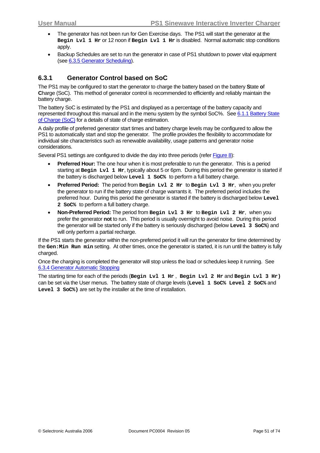- <span id="page-50-0"></span>• The generator has not been run for Gen Exercise days. The PS1 will start the generator at the **Begin Lvl 1 Hr** or 12 noon if **Begin Lvl 1 Hr** is disabled. Normal automatic stop conditions apply.
- Backup Schedules are set to run the generator in case of PS1 shutdown to power vital equipment (see [6.3.5 Generator Scheduling\)](#page-54-0).

### **6.3.1 Generator Control based on SoC**

The PS1 may be configured to start the generator to charge the battery based on the battery **S**tate **o**f **C**harge (SoC). This method of generator control is recommended to efficiently and reliably maintain the battery charge.

The battery SoC is estimated by the PS1 and displayed as a percentage of the battery capacity and represented throughout this manual and in the menu system by the symbol SoC%. See [6.1.1 Battery State](#page-46-0) [of Charge \(SoC\)](#page-46-0) for a details of state of charge estimation.

A daily profile of preferred generator start times and battery charge levels may be configured to allow the PS1 to automatically start and stop the generator. The profile provides the flexibility to accommodate for individual site characteristics such as renewable availability, usage patterns and generator noise considerations.

Several PS1 settings are configured to divide the day into three periods (refer Figure 8):

- **Preferred Hour:** The one hour when it is most preferable to run the generator. This is a period starting at **Begin Lvl 1 Hr**, typically about 5 or 6pm. During this period the generator is started if the battery is discharged below **Level 1 SoC%** to perform a full battery charge.
- **Preferred Period:** The period from **Begin Lvl 2 Hr** to **Begin Lvl 3 Hr**, when you prefer the generator to run if the battery state of charge warrants it. The preferred period includes the preferred hour. During this period the generator is started if the battery is discharged below **Level 2 SoC%** to perform a full battery charge.
- **Non-Preferred Period:** The period from **Begin Lvl 3 Hr** to **Begin Lvl 2 Hr**, when you prefer the generator **not** to run. This period is usually overnight to avoid noise. During this period the generator will be started only if the battery is seriously discharged (below **Level 3 SoC%**) and will only perform a partial recharge.

If the PS1 starts the generator within the non-preferred period it will run the generator for time determined by the **Gen:Min Run min** setting. At other times, once the generator is started, it is run until the battery is fully charged.

Once the charging is completed the generator will stop unless the load or schedules keep it running. See [6.3.4 Generator Automatic Stopping](#page-54-0)

The starting time for each of the periods (**Begin Lvl 1 Hr** , **Begin Lvl 2 Hr** and **Begin Lvl 3 Hr)** can be set via the User menus. The battery state of charge levels (**Level 1 SoC% Level 2 SoC%** and **Level 3 SoC%)** are set by the installer at the time of installation.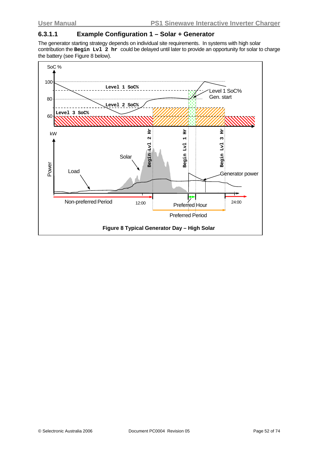### **6.3.1.1 Example Configuration 1 – Solar + Generator**

The generator starting strategy depends on individual site requirements. In systems with high solar contribution the **Begin Lvl 2 hr** could be delayed until later to provide an opportunity for solar to charge the battery (see Figure 8 below).

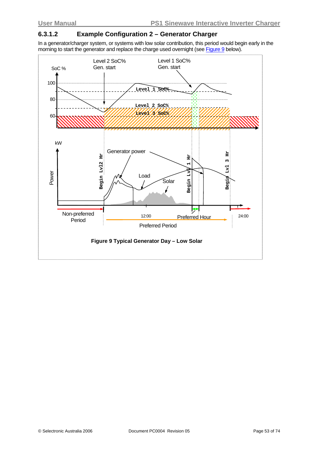### **6.3.1.2 Example Configuration 2 – Generator Charger**

In a generator/charger system, or systems with low solar contribution, this period would begin early in the morning to start the generator and replace the charge used overnight (see Figure 9 below).

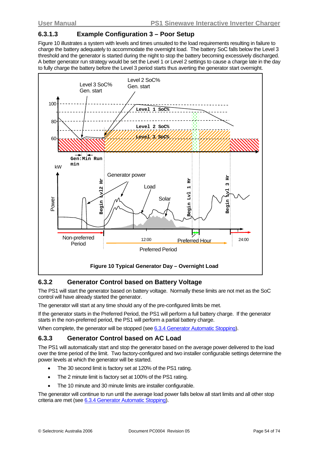### <span id="page-53-0"></span>**6.3.1.3 Example Configuration 3 – Poor Setup**

Figure 10 illustrates a system with levels and times unsuited to the load requirements resulting in failure to charge the battery adequately to accommodate the overnight load. The battery SoC falls below the Level 3 threshold and the generator is started during the night to stop the battery becoming excessively discharged. A better generator run strategy would be set the Level 1 or Level 2 settings to cause a charge late in the day to fully charge the battery before the Level 3 period starts thus averting the generator start overnight.



### **6.3.2 Generator Control based on Battery Voltage**

The PS1 will start the generator based on battery voltage. Normally these limits are not met as the SoC control will have already started the generator.

The generator will start at any time should any of the pre-configured limits be met.

If the generator starts in the Preferred Period, the PS1 will perform a full battery charge. If the generator starts in the non-preferred period, the PS1 will perform a partial battery charge.

When complete, the generator will be stopped (see [6.3.4](#page-55-0) [Generator Automatic Stopping\)](#page-54-0).

#### **6.3.3 Generator Control based on AC Load**

The PS1 will automatically start and stop the generator based on the average power delivered to the load over the time period of the limit. Two factory-configured and two installer configurable settings determine the power levels at which the generator will be started.

- The 30 second limit is factory set at 120% of the PS1 rating.
- The 2 minute limit is factory set at 100% of the PS1 rating.
- The 10 minute and 30 minute limits are installer configurable.

The generator will continue to run until the average load power falls below all start limits and all other stop criteria are met (see [6.3.4](#page-55-0) [Generator Automatic Stopping](#page-54-0)).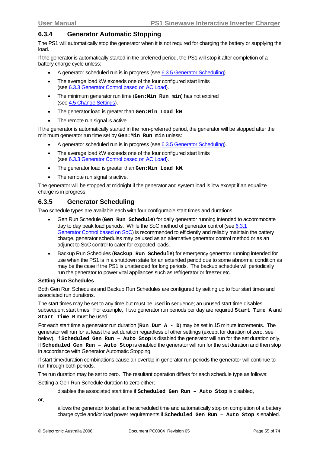### <span id="page-54-0"></span>**6.3.4 Generator Automatic Stopping**

The PS1 will automatically stop the generator when it is not required for charging the battery or supplying the load.

If the generator is automatically started in the preferred period, the PS1 will stop it after completion of a battery charge cycle unless:

- A generator scheduled run is in progress (see [6.3.5 Generator Scheduling](#page-54-0)).
- The average load kW exceeds one of the four configured start limits (see [6.3.3 Generator Control based on AC Load\)](#page-53-0).
- The minimum generator run time (**Gen:Min Run min**) has not expired (see [4.5](#page-33-0) [Change Settings\)](#page-33-0).
- The generator load is greater than **Gen:Min Load kW**.
- The remote run signal is active.

If the generator is automatically started in the non-preferred period, the generator will be stopped after the minimum generator run time set by **Gen:Min Run min** unless:

- A generator scheduled run is in progress (see [6.3.5 Generator Scheduling](#page-54-0)).
- The average load kW exceeds one of the four configured start limits (see [6.3.3 Generator Control based on AC Load\)](#page-53-0).
- The generator load is greater than **Gen:Min Load kW**.
- The remote run signal is active.

The generator will be stopped at midnight if the generator and system load is low except if an equalize charge is in progress.

### **6.3.5 Generator Scheduling**

Two schedule types are available each with four configurable start times and durations.

- Gen Run Schedule (**Gen Run Schedule**) for daily generator running intended to accommodate day to day peak load periods. While the SoC method of generator control (see [6.3.1](#page-50-0) [Generator Control based on SoC\)](#page-50-0) is recommended to efficiently and reliably maintain the battery charge, generator schedules may be used as an alternative generator control method or as an adjunct to SoC control to cater for expected loads.
- Backup Run Schedules (**Backup Run Schedule**) for emergency generator running intended for use when the PS1 is in a shutdown state for an extended period due to some abnormal condition as may be the case if the PS1 is unattended for long periods. The backup schedule will periodically run the generator to power vital appliances such as refrigerator or freezer etc.

#### **Setting Run Schedules**

Both Gen Run Schedules and Backup Run Schedules are configured by setting up to four start times and associated run durations.

The start times may be set to any time but must be used in sequence; an unused start time disables subsequent start times. For example, if two generator run periods per day are required **Start Time A** and **Start Time B** must be used.

For each start time a generator run duration (**Run Dur A - D**) may be set in 15 minute increments. The generator will run for at least the set duration regardless of other settings (except for duration of zero, see below). If **Scheduled Gen Run – Auto Stop** is disabled the generator will run for the set duration only. If **Scheduled Gen Run – Auto Stop** is enabled the generator will run for the set duration and then stop in accordance with Generator Automatic Stopping.

If start time/duration combinations cause an overlap in generator run periods the generator will continue to run through both periods.

The run duration may be set to zero. The resultant operation differs for each schedule type as follows: Setting a Gen Run Schedule duration to zero either;

disables the associated start time if **Scheduled Gen Run – Auto Stop** is disabled,

or,

allows the generator to start at the scheduled time and automatically stop on completion of a battery charge cycle and/or load power requirements if **Scheduled Gen Run – Auto Stop** is enabled.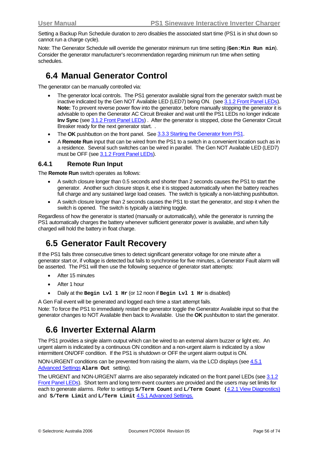<span id="page-55-0"></span>Setting a Backup Run Schedule duration to zero disables the associated start time (PS1 is in shut down so cannot run a charge cycle).

Note: The Generator Schedule will override the generator minimum run time setting (Gen:Min Run min). Consider the generator manufacturer's recommendation regarding minimum run time when setting schedules.

## **6.4 Manual Generator Control**

The generator can be manually controlled via:

- The generator local controls. The PS1 generator available signal from the generator switch must be inactive indicated by the Gen NOT Available LED (LED7) being ON. (see [3.1.2](#page-12-0) [Front Panel LEDs](#page-12-0)). **Note:** To prevent reverse power flow into the generator, before manually stopping the generator it is advisable to open the Generator AC Circuit Breaker and wait until the PS1 LEDs no longer indicate **Inv Sync** (see [3.1.2 Front Panel LEDs](#page-12-0)). After the generator is stopped, close the Generator Circuit Breaker ready for the next generator start. .
- The **OK** pushbutton on the front panel. See [3.3.3 Starting the Generator from PS1](#page-17-0).
- A **Remote Run** input that can be wired from the PS1 to a switch in a convenient location such as in a residence. Several such switches can be wired in parallel. The Gen NOT Available LED (LED7) must be OFF (see [3.1.2](#page-12-0) [Front Panel LEDs](#page-12-0)).

#### **6.4.1 Remote Run Input**

The **Remote Run** switch operates as follows:

- A switch closure longer than 0.5 seconds and shorter than 2 seconds causes the PS1 to start the generator. Another such closure stops it, else it is stopped automatically when the battery reaches full charge and any sustained large load ceases. The switch is typically a non-latching pushbutton.
- A switch closure longer than 2 seconds causes the PS1 to start the generator, and stop it when the switch is opened. The switch is typically a latching toggle.

Regardless of how the generator is started (manually or automatically), while the generator is running the PS1 automatically charges the battery whenever sufficient generator power is available, and when fully charged will hold the battery in float charge.

## **6.5 Generator Fault Recovery**

If the PS1 fails three consecutive times to detect significant generator voltage for one minute after a generator start or, if voltage is detected but fails to synchronise for five minutes, a Generator Fault alarm will be asserted. The PS1 will then use the following sequence of generator start attempts:

- After 15 minutes
- After 1 hour
- Daily at the **Begin Lvl 1 Hr** (or 12 noon if **Begin Lvl 1 Hr** is disabled)

A Gen Fail event will be generated and logged each time a start attempt fails.

Note: To force the PS1 to immediately restart the generator toggle the Generator Available input so that the generator changes to NOT Available then back to Available. Use the **OK** pushbutton to start the generator.

## **6.6 Inverter External Alarm**

The PS1 provides a single alarm output which can be wired to an external alarm buzzer or light etc. An urgent alarm is indicated by a continuous ON condition and a non-urgent alarm is indicated by a slow intermittent ON/OFF condition. If the PS1 is shutdown or OFF the urgent alarm output is ON.

NON-URGENT conditions can be prevented from raising the alarm, via the LCD displays (see [4.5.1](#page-36-0) [Advanced Settings](#page-36-0) **Alarm Out** setting).

The URGENT and NON-URGENT alarms are also separately indicated on the front panel LEDs (see [3.1.2](#page-12-0) [Front Panel LEDs\)](#page-12-0). Short term and long term event counters are provided and the users may set limits for each to generate alarms. Refer to settings **S/Term Count** and **L/Term Count (**[4.2.1 View Diagnostics\)](#page-23-0) and **S/Term Limit** and **L/Term Limit** [4.5.1](#page-36-0) [Advanced Settings.](#page-36-0)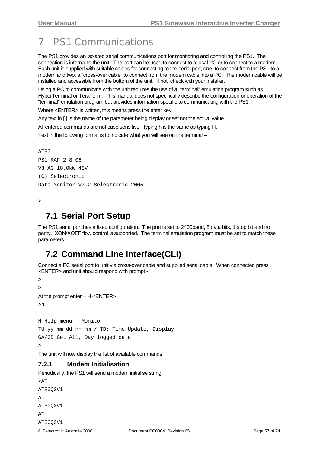# 7 PS1 Communications

The PS1 provides an isolated serial communications port for monitoring and controlling the PS1. The connection is internal to the unit. The port can be used to connect to a local PC or to connect to a modem. Each unit is supplied with suitable cables for connecting to the serial port, one, to connect from the PS1 to a modem and two, a "cross-over cable" to connect from the modem cable into a PC. The modem cable will be installed and accessible from the bottom of the unit. If not, check with your installer.

Using a PC to communicate with the unit requires the use of a "terminal" emulation program such as HyperTerminal or TeraTerm. This manual does not specifically describe the configuration or operation of the "terminal" emulation program but provides information specific to communicating with the PS1.

Where <ENTER> is written, this means press the enter key.

Any text in [ ] is the name of the parameter being display or set not the actual value.

All entered commands are not case sensitive - typing h is the same as typing H.

Text in the following format is to indicate what you will see on the terminal –

 $ATE0$ PS1 RAP 2-8-06 V8.AG 10.0kW 48V (C) Selectronic Data Monitor V7.2 Selectronic 2005

```
\overline{\phantom{a}}
```
## **7.1 Serial Port Setup**

The PS1 serial port has a fixed configuration. The port is set to 2400baud, 8 data bits, 1 stop bit and no parity. XON/XOFF flow control is supported. The terminal emulation program must be set to match these parameters.

## **7.2 Command Line Interface(CLI)**

Connect a PC serial port to unit via cross-over cable and supplied serial cable. When connected press <ENTER> and unit should respond with prompt -

```
> 
> 
At the prompt enter – H <ENTER> 
>h
```
H Help menu - Monitor TU yy mm dd hh mm / TD: Time Update, Display GA/GD Get All, Day logged data >

The unit will now display the list of available commands

### **7.2.1 Modem Initialisation**

Periodically, the PS1 will send a modem initialise string.

```
© Selectronic Australia 2006 Document PC0004 Revision 05 Page 57 of 74 
>APATE0Q0V1 
AT
ATE0Q0V1 
AT 
ATE0Q0V1
```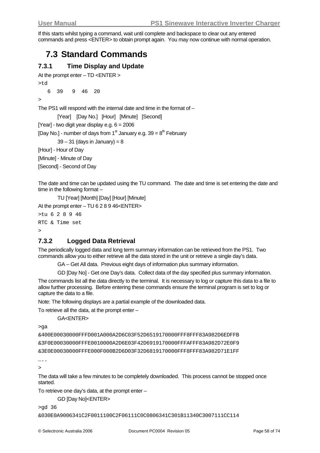If this starts whilst typing a command, wait until complete and backspace to clear out any entered commands and press <ENTER> to obtain prompt again. You may now continue with normal operation.

## **7.3 Standard Commands**

### **7.3.1 Time Display and Update**

```
At the prompt enter – TD <ENTER >
```

```
>td
```

```
 6 39 9 46 20
```
 $>$ 

The PS1 will respond with the internal date and time in the format of –

[Year] [Day No.] [Hour] [Minute] [Second]

[Year] - two digit year display e.g.  $6 = 2006$ 

[Day No.] - number of days from 1<sup>st</sup> January e.g.  $39 = 8<sup>th</sup>$  February

 $39 - 31$  (days in January) = 8

[Hour] - Hour of Day

[Minute] - Minute of Day

[Second] - Second of Day

The date and time can be updated using the TU command. The date and time is set entering the date and time in the following format –

TU [Year] [Month] [Day] [Hour] [Minute]

At the prompt enter – TU 6 2 8 9 46<ENTER>

```
>tu 6 2 8 9 46 
RTC & Time set 
\rightarrow
```
## **7.3.2 Logged Data Retrieval**

The periodically logged data and long term summary information can be retrieved from the PS1. Two commands allow you to either retrieve all the data stored in the unit or retrieve a single day's data.

GA – Get All data. Previous eight days of information plus summary information.

GD [Day No] - Get one Day's data. Collect data of the day specified plus summary information.

The commands list all the data directly to the terminal. It is necessary to log or capture this data to a file to allow further processing. Before entering these commands ensure the terminal program is set to log or capture the data to a file.

Note: The following displays are a partial example of the downloaded data.

To retrieve all the data, at the prompt enter –

GA<ENTER>

>ga

&400E00030000FFFD001A000A2D6C03F52D6519170000FFF8FFF83A982D6EDFFB &3F0E00030000FFFE0010000A2D6E03F42D6919170000FFFAFFF83A982D72E0F9 &3E0E00030000FFFE000F000B2D6D03F32D6819170000FFF8FFF83A982D71E1FF

….  $\ddot{\phantom{1}}$ 

The data will take a few minutes to be completely downloaded. This process cannot be stopped once started.

To retrieve one day's data, at the prompt enter –

GD [Day No]<ENTER>

>gd 36

```
&030E0A9006341C2F0011100C2F06111C0C0806341C301B11340C3007111CC114
```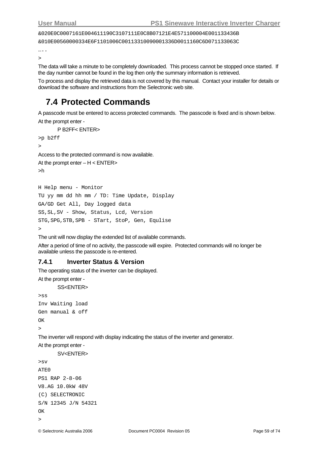&020E0C0007161E004611190C3107111E0C8B07121E4E571100004E001133436B

&010E00560000334E6F1101006C00113310090001336D0011160C6D071133063C

….

 $\ddot{\phantom{1}}$ 

The data will take a minute to be completely downloaded. This process cannot be stopped once started. If the day number cannot be found in the log then only the summary information is retrieved.

To process and display the retrieved data is not covered by this manual. Contact your installer for details or download the software and instructions from the Selectronic web site.

## **7.4 Protected Commands**

A passcode must be entered to access protected commands. The passcode is fixed and is shown below. At the prompt enter -

```
 P B2FF< ENTER>
```

```
>p b2ff
```
>

Access to the protected command is now available.

```
At the prompt enter - H < ENTER>>h
```
H Help menu - Monitor

```
TU yy mm dd hh mm / TD: Time Update, Display 
GA/GD Get All, Day logged data 
SS,SL,SV - Show, Status, Lcd, Version 
STG,SPG,STB,SPB - STart, StoP, Gen, Equlise 
\ddot{\phantom{0}}
```
The unit will now display the extended list of available commands.

After a period of time of no activity, the passcode will expire. Protected commands will no longer be available unless the passcode is re-entered.

#### **7.4.1 Inverter Status & Version**

The operating status of the inverter can be displayed.

At the prompt enter -

```
SS<ENTER>
```

```
>ss 
Inv Waiting load 
Gen manual & off 
OK 
\rightarrow
```
The inverter will respond with display indicating the status of the inverter and generator.

At the prompt enter -

```
SV<ENTER> 
>sv 
ATE0 
PS1 RAP 2-8-06 
V8.AG 10.0kW 48V 
(C) SELECTRONIC 
S/N 12345 J/N 54321 
\bigcapK
>
```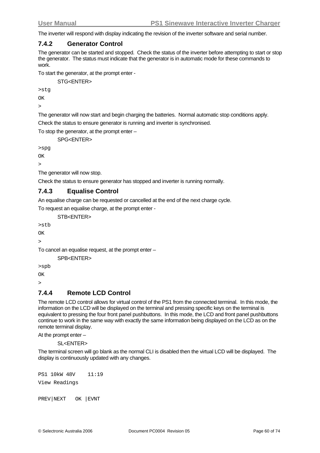<span id="page-59-0"></span>The inverter will respond with display indicating the revision of the inverter software and serial number.

### **7.4.2 Generator Control**

The generator can be started and stopped. Check the status of the inverter before attempting to start or stop the generator. The status must indicate that the generator is in automatic mode for these commands to work.

To start the generator, at the prompt enter -

STG<ENTER>

>stg

OK

>

The generator will now start and begin charging the batteries. Normal automatic stop conditions apply. Check the status to ensure generator is running and inverter is synchronised.

To stop the generator, at the prompt enter –

SPG<FNTFR>

>spg

 $\bigcap K$ 

>

The generator will now stop.

Check the status to ensure generator has stopped and inverter is running normally.

### **7.4.3 Equalise Control**

An equalise charge can be requested or cancelled at the end of the next charge cycle.

To request an equalise charge, at the prompt enter -

STB<FNTFR>

>stb

 $\alpha$ >

To cancel an equalise request, at the prompt enter –

SPB<ENTER>

>spb

OK

 $\rightarrow$ 

### **7.4.4 Remote LCD Control**

The remote LCD control allows for virtual control of the PS1 from the connected terminal. In this mode, the information on the LCD will be displayed on the terminal and pressing specific keys on the terminal is equivalent to pressing the four front panel pushbuttons. In this mode, the LCD and front panel pushbuttons continue to work in the same way with exactly the same information being displayed on the LCD as on the remote terminal display.

At the prompt enter –

SL<ENTER>

The terminal screen will go blank as the normal CLI is disabled then the virtual LCD will be displayed. The display is continuously updated with any changes.

PS1 10kW 48V 11:19 View Readings

PREV|NEXT OK |EVNT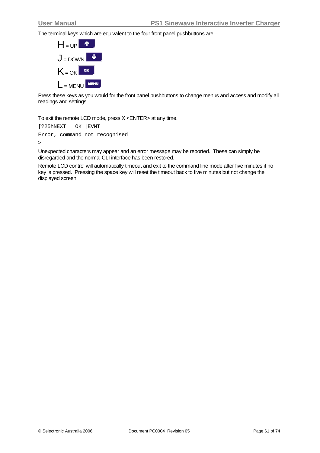The terminal keys which are equivalent to the four front panel pushbuttons are –



Press these keys as you would for the front panel pushbuttons to change menus and access and modify all readings and settings.

To exit the remote LCD mode, press X <ENTER> at any time.

```
[?25hNEXT OK |EVNT 
Error, command not recognised 
\,>
```
Unexpected characters may appear and an error message may be reported. These can simply be disregarded and the normal CLI interface has been restored.

Remote LCD control will automatically timeout and exit to the command line mode after five minutes if no key is pressed. Pressing the space key will reset the timeout back to five minutes but not change the displayed screen.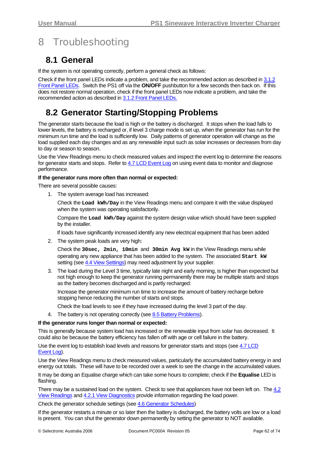# <span id="page-61-0"></span>8 Troubleshooting

## **8.1 General**

If the system is not operating correctly, perform a general check as follows:

Check if the front panel LEDs indicate a problem, and take the recommended action as described in [3.1.2](#page-12-0) <sup>3</sup>[Front Panel LEDs. Switch t](#page-59-0)he PS1 off via the **ON/OFF** pushbutton for a few seconds then back on. If this does not restore normal operation, check if the front panel LEDs now indicate a problem, and take the recommended action as described in [3.1.2](#page-12-0) [Front Panel LED](#page-61-0)s.

## **8.2 Generator Starting/Stopping Problems**

The generator starts because the load is high or the battery is discharged. It stops when the load falls to lower levels, the battery is recharged or, if level 3 charge mode is set up, when the generator has run for the minimum run time and the load is sufficiently low. Daily patterns of generator operation will change as the load supplied each day changes and as any renewable input such as solar increases or decreases from day to day or season to season.

Use the View Readings menu to check measured values and inspect the event log to determine the reasons for generator starts and stops. Refer to [4.7 LCD Event Log](#page-44-0) on using event data to monitor and diagnose performance.

#### **If the generator runs more often than normal or expected:**

There are several possible causes:

1. The system average load has increased:

Check the **Load kWh/Day** in the View Readings menu and compare it with the value displayed when the system was operating satisfactorily.

Compare the **Load kWh/Day** against the system design value which should have been supplied by the installer.

If loads have significantly increased identify any new electrical equipment that has been added

2. The system peak loads are very high:

Check the **30sec, 2min, 10min** and **30min Avg kW** in the View Readings menu while operating any new appliance that has been added to the system. The associated **Start kW** setting (see [4.4 View Settings](#page-28-0)) may need adjustment by your supplier.

3. The load during the Level 3 time, typically late night and early morning, is higher than expected but not high enough to keep the generator running permanently there may be multiple starts and stops as the battery becomes discharged and is partly recharged:

Increase the generator minimum run time to increase the amount of battery recharge before stopping hence reducing the number of starts and stops.

Check the load levels to see if they have increased during the level 3 part of the day.

4. The battery is not operating correctly (see [8.5 Battery Problems\)](#page-62-0).

#### **If the generator runs longer than normal or expected:**

This is generally because system load has increased or the renewable input from solar has decreased. It could also be because the battery efficiency has fallen off with age or cell failure in the battery.

Use the event log to establish load levels and reasons for generator starts and stops (see [4.7 LCD](#page-44-0) [Event Log\)](#page-44-0).

Use the View Readings menu to check measured values, particularly the accumulated battery energy in and energy out totals. These will have to be recorded over a week to see the change in the accumulated values.

It may be doing an Equalise charge which can take some hours to complete; check if the **Equalise** LED is flashing.

There may be a sustained load on the system. Check to see that appliances have not been left on. The [4.2](#page-20-0) [View Readings](#page-20-0) and [4.2.1 View Diagnostics](#page-23-0) provide information regarding the load power.

Check the generator schedule settings (see [4.6 Generator Schedules](#page-39-0))

If the generator restarts a minute or so later then the battery is discharged, the battery volts are low or a load is present. You can shut the generator down permanently by setting the generator to NOT available.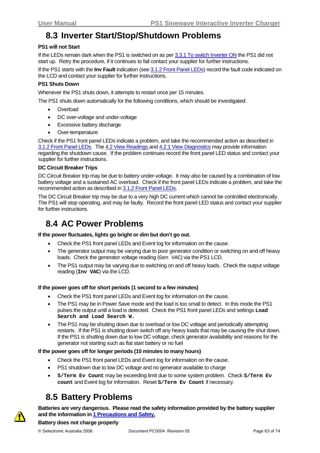## <span id="page-62-0"></span>**8.3 Inverter Start/Stop/Shutdown Problems**

#### **PS1 will not Start**

If the LEDs remain dark when the PS1 is switched on as per [3.3.1 To switch Inverter ON](#page-17-0) the PS1 did not start up. Retry the procedure, if it continues to fail contact your supplier for further instructions.

If the PS1 starts with the **Inv Fault** indication (see [3.1.2 Front Panel LEDs](#page-12-0)) record the fault code indicated on the LCD and contact your supplier for further instructions.

#### **PS1 Shuts Down**

Whenever the PS1 shuts down, it attempts to restart once per 15 minutes.

The PS1 shuts down automatically for the following conditions, which should be investigated:

- **Overload**
- DC over-voltage and under-voltage
- Excessive battery discharge
- Over-temperature

Check if the PS1 front panel LEDs indicate a problem, and take the recommended action as described in [3.1.2 Front Panel LEDs](#page-12-0). The [4.2](#page-20-0) [View Readings](#page-20-0) and [4.2.1](#page-23-0) [View Diagnostics](#page-23-0) may provide information regarding the shutdown cause. If the problem continues record the front panel LED status and contact your supplier for further instructions.

#### **DC Circuit Breaker Trips**

DC Circuit Breaker trip may be due to battery under-voltage. It may also be caused by a combination of low battery voltage and a sustained AC overload. Check if the front panel LEDs indicate a problem, and take the recommended action as described in [3.1.2 Front Panel LEDs.](#page-12-0)

The DC Circuit Breaker trip may be due to a very high DC current which cannot be controlled electronically. The PS1 will stop operating, and may be faulty. Record the front panel LED status and contact your supplier for further instructions.

## **8.4 AC Power Problems**

**If the power fluctuates, lights go bright or dim but don't go out.** 

- Check the PS1 front panel LEDs and Event log for information on the cause.
- The generator output may be varying due to poor generator condition or switching on and off heavy loads. Check the generator voltage reading (Gen VAC) via the PS1 LCD.
- The PS1 output may be varying due to switching on and off heavy loads. Check the output voltage reading (**Inv VAC**) via the LCD.

#### **If the power goes off for short periods (1 second to a few minutes)**

- Check the PS1 front panel LEDs and Event log for information on the cause.
- The PS1 may be in Power Save mode and the load is too small to detect. In this mode the PS1 pulses the output until a load is detected. Check the PS1 front panel LEDs and settings **Load Search and Load Search W.**
- The PS1 may be shutting down due to overload or low DC voltage and periodically attempting restarts. If the PS1 is shutting down switch off any heavy loads that may be causing the shut down. If the PS1 is shutting down due to low DC voltage, check generator availability and reasons for the generator not starting such as flat start battery or no fuel

#### **If the power goes off for longer periods (10 minutes to many hours)**

- Check the PS1 front panel LEDs and Event log for information on the cause.
- PS1 shutdown due to low DC voltage and no generator available to charge
- **S/Term Ev Count** may be exceeding limit due to some system problem. Check **S/Term Ev count** and Event log for information. Reset **S/Term Ev Count** if necessary.

## **8.5 Battery Problems**

**Batteries are very dangerous. Please read the safety information provided by the battery supplier and the information in [1 Precautions and Safety.](#page-7-0)**

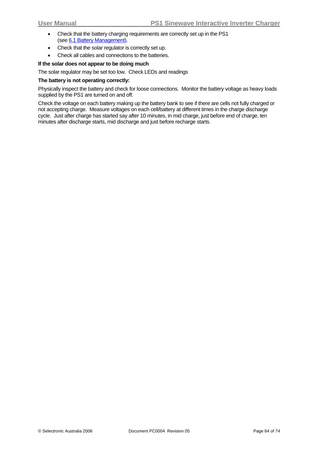- Check that the battery charging requirements are correctly set up in the PS1 (see [6.1](#page-46-0) [Battery Management\)](#page-46-0).
- Check that the solar regulator is correctly set up.
- Check all cables and connections to the batteries.

#### **If the solar does not appear to be doing much**

The solar regulator may be set too low. Check LEDs and readings

#### **The battery is not operating correctly:**

Physically inspect the battery and check for loose connections. Monitor the battery voltage as heavy loads supplied by the PS1 are turned on and off.

Check the voltage on each battery making up the battery bank to see if there are cells not fully charged or not accepting charge. Measure voltages on each cell/battery at different times in the charge discharge cycle. Just after charge has started say after 10 minutes, in mid charge, just before end of charge, ten minutes after discharge starts, mid discharge and just before recharge starts.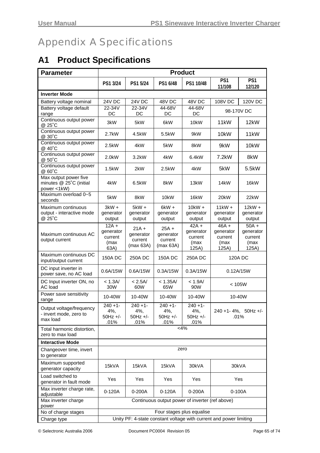# Appendix A Specifications

# **A1 Product Specifications**

| <b>Parameter</b>                                                | <b>Product</b>                                                     |                                              |                                              |                                                  |                                                  |                                                  |
|-----------------------------------------------------------------|--------------------------------------------------------------------|----------------------------------------------|----------------------------------------------|--------------------------------------------------|--------------------------------------------------|--------------------------------------------------|
|                                                                 | PS1 3/24                                                           | PS1 5/24                                     | PS1 6/48                                     | PS1 10/48                                        | PS <sub>1</sub><br>11/108                        | PS1<br>12/120                                    |
| <b>Inverter Mode</b>                                            |                                                                    |                                              |                                              |                                                  |                                                  |                                                  |
| Battery voltage nominal                                         | <b>24V DC</b>                                                      | 24V DC                                       | 48V DC                                       | 48V DC                                           | 108V DC                                          | 120V DC                                          |
| Battery voltage default<br>range                                | 22-34V<br>DC                                                       | 22-34V<br>DC                                 | 44-68V<br>DC                                 | 44-68V<br>DC                                     |                                                  | 98-170V DC                                       |
| Continuous output power<br>@ 25°C                               | 3kW                                                                | 5kW                                          | 6kW                                          | 10 <sub>k</sub> W                                | 11 <sub>k</sub> W                                | 12kW                                             |
| Continuous output power<br>@ 30°C                               | 2.7kW                                                              | 4.5kW                                        | 5.5kW                                        | 9kW                                              | 10kW                                             | 11kW                                             |
| Continuous output power<br>@ 40°C                               | 2.5kW                                                              | 4kW                                          | 5kW                                          | 8kW                                              | 9kW                                              | 10 <sub>k</sub> W                                |
| Continuous output power<br>@ 50°C                               | 2.0kW                                                              | 3.2kW                                        | 4kW                                          | 6.4kW                                            | 7.2kW                                            | 8kW                                              |
| Continuous output power<br>@ 60°C                               | 1.5kW                                                              | 2kW                                          | 2.5kW                                        | 4kW                                              | 5kW                                              | 5.5kW                                            |
| Max output power five<br>minutes @ 25°C (initial<br>power <1kW) | 4kW                                                                | 6.5kW                                        | 8kW                                          | 13kW                                             | 14kW                                             | 16kW                                             |
| Maximum overload 0~5<br>seconds                                 | 5kW                                                                | 8kW                                          | 10kW                                         | 16kW                                             | 20 <sub>k</sub> W                                | 22kW                                             |
| Maximum continuous<br>output - interactive mode<br>@ 25°C       | $3kW +$<br>generator<br>output                                     | $5kW +$<br>generator<br>output               | $6kW +$<br>generator<br>output               | $10$ k $W +$<br>generator<br>output              | 11kW +<br>generator<br>output                    | $12kW +$<br>generator<br>output                  |
| Maximum continuous AC<br>output current                         | $12A +$<br>generator<br>current<br>(max<br>63A)                    | $21A +$<br>generator<br>current<br>(max 63A) | $25A +$<br>generator<br>current<br>(max 63A) | $42A +$<br>generator<br>current<br>(max<br>125A) | $46A +$<br>generator<br>current<br>(max<br>125A) | $50A +$<br>generator<br>current<br>(max<br>125A) |
| Maximum continuous DC<br>input/output current                   | <b>150A DC</b>                                                     | 250A DC                                      | <b>150A DC</b>                               | 250A DC                                          | 120A DC                                          |                                                  |
| DC input inverter in<br>power save, no AC load                  | 0.6A/15W                                                           | 0.6A/15W                                     | 0.3A/15W                                     | 0.3A/15W                                         |                                                  | 0.12A/15W                                        |
| DC Input inverter ON, no<br>AC load                             | < 1.3A/<br>30W                                                     | < 2.5A/<br>60W                               | < 1.35A/<br>65W                              | < 1.9A/<br>90W                                   |                                                  | < 105W                                           |
| Power save sensitivity<br>range                                 | 10-40W                                                             | 10-40W                                       | 10-40W                                       | 10-40W                                           |                                                  | 10-40W                                           |
| Output voltage/frequency<br>- invert mode, zero to<br>max load  | $240 + 1$ -<br>4%,<br>$50Hz +/-$<br>.01%                           | $240 + 1$<br>4%,<br>$50Hz +/-$<br>.01%       | $240 + 1$<br>4%,<br>$50Hz +/-$<br>.01%       | $240 + 1$<br>4%,<br>$50Hz +/-$<br>.01%           |                                                  | 240 +1-4%, 50Hz +/-<br>.01%                      |
| Total harmonic distortion,<br>zero to max load                  |                                                                    |                                              |                                              | <4%                                              |                                                  |                                                  |
| <b>Interactive Mode</b>                                         |                                                                    |                                              |                                              |                                                  |                                                  |                                                  |
| Changeover time, invert<br>to generator                         |                                                                    |                                              |                                              | zero                                             |                                                  |                                                  |
| Maximum supported<br>generator capacity                         | 15kVA                                                              | 15kVA                                        | 15kVA                                        | 30kVA                                            |                                                  | 30kVA                                            |
| Load switched to<br>generator in fault mode                     | Yes                                                                | Yes                                          | Yes                                          | Yes                                              |                                                  | Yes                                              |
| Max inverter charge rate,<br>adjustable                         | 0-120A                                                             | 0-200A                                       | $0-120A$                                     | 0-200A                                           |                                                  | 0-100A                                           |
| Max inverter charge<br>power                                    |                                                                    |                                              |                                              | Continuous output power of inverter (ref above)  |                                                  |                                                  |
| No of charge stages                                             |                                                                    |                                              |                                              | Four stages plus equalise                        |                                                  |                                                  |
| Charge type                                                     | Unity PF: 4-state constant voltage with current and power limiting |                                              |                                              |                                                  |                                                  |                                                  |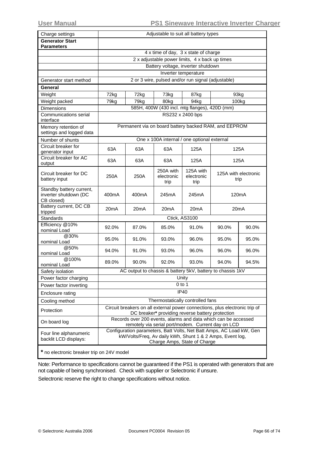| Charge settings                                                 | Adjustable to suit all battery types |                                                |                                 |                                                                                                                                                                   |                              |       |  |
|-----------------------------------------------------------------|--------------------------------------|------------------------------------------------|---------------------------------|-------------------------------------------------------------------------------------------------------------------------------------------------------------------|------------------------------|-------|--|
| <b>Generator Start</b><br><b>Parameters</b>                     |                                      |                                                |                                 |                                                                                                                                                                   |                              |       |  |
|                                                                 |                                      | 4 x time of day, 3 x state of charge           |                                 |                                                                                                                                                                   |                              |       |  |
|                                                                 |                                      | 2 x adjustable power limits, 4 x back up times |                                 |                                                                                                                                                                   |                              |       |  |
|                                                                 |                                      | Battery voltage, inverter shutdown             |                                 |                                                                                                                                                                   |                              |       |  |
|                                                                 |                                      |                                                |                                 | Inverter temperature                                                                                                                                              |                              |       |  |
| Generator start method                                          |                                      |                                                |                                 | 2 or 3 wire, pulsed and/or run signal (adjustable)                                                                                                                |                              |       |  |
| General                                                         |                                      |                                                |                                 |                                                                                                                                                                   |                              |       |  |
| Weight                                                          | 72kg                                 | 72kg                                           | 73kg                            | 87kg                                                                                                                                                              |                              | 93kg  |  |
| Weight packed                                                   | 79kg                                 | 79kg                                           | 80kg                            | 94ka                                                                                                                                                              |                              | 100kg |  |
| Dimensions                                                      |                                      |                                                |                                 | 585H, 400W (430 incl. mtg flanges), 420D (mm)                                                                                                                     |                              |       |  |
| Communications serial<br>interface                              |                                      |                                                |                                 | RS232 x 2400 bps                                                                                                                                                  |                              |       |  |
| Memory retention of<br>settings and logged data                 |                                      |                                                |                                 | Permanent via on board battery backed RAM, and EEPROM                                                                                                             |                              |       |  |
| Number of shunts                                                |                                      |                                                |                                 | One x 100A internal / one optional external                                                                                                                       |                              |       |  |
| Circuit breaker for<br>generator input                          | 63A                                  | 63A                                            | 63A                             | 125A                                                                                                                                                              |                              | 125A  |  |
| Circuit breaker for AC<br>output                                | 63A                                  | 63A                                            | 63A                             | 125A                                                                                                                                                              |                              | 125A  |  |
| Circuit breaker for DC<br>battery input                         | 250A                                 | 250A                                           | 250A with<br>electronic<br>trip | 125A with<br>electronic<br>trip                                                                                                                                   | 125A with electronic<br>trip |       |  |
| Standby battery current,<br>inverter shutdown (DC<br>CB closed) | 400mA                                | 400mA                                          | 245mA                           | 245mA                                                                                                                                                             | 120 <sub>m</sub> A           |       |  |
| Battery current, DC CB<br>tripped                               | 20 <sub>m</sub> A                    | 20 <sub>m</sub> A                              | 20 <sub>m</sub> A               | 20 <sub>m</sub> A                                                                                                                                                 | 20 <sub>m</sub> A            |       |  |
| Standards                                                       |                                      |                                                |                                 | Ctick, AS3100                                                                                                                                                     |                              |       |  |
| Efficiency @10%<br>nominal Load                                 | 92.0%                                | 87.0%                                          | 85.0%                           | 91.0%                                                                                                                                                             | 90.0%                        | 90.0% |  |
| @30%<br>nominal Load                                            | 95.0%                                | 91.0%                                          | 93.0%                           | 96.0%                                                                                                                                                             | 95.0%                        | 95.0% |  |
| @50%<br>nominal Load                                            | 94.0%                                | 91.0%                                          | 93.0%                           | 96.0%                                                                                                                                                             | 96.0%                        | 96.0% |  |
| @100%<br>nominal Load                                           | 89.0%                                | 90.0%                                          | 92.0%                           | 93.0%                                                                                                                                                             | 94.0%                        | 94.5% |  |
| Safety isolation                                                |                                      |                                                |                                 | AC output to chassis & battery 5kV, battery to chassis 1kV                                                                                                        |                              |       |  |
| Power factor charging                                           |                                      |                                                |                                 | Unity                                                                                                                                                             |                              |       |  |
| Power factor inverting                                          |                                      |                                                |                                 | $0$ to 1                                                                                                                                                          |                              |       |  |
| Enclosure rating                                                |                                      |                                                |                                 | <b>IP40</b>                                                                                                                                                       |                              |       |  |
| Cooling method                                                  |                                      |                                                |                                 | Thermostatically controlled fans                                                                                                                                  |                              |       |  |
| Protection                                                      |                                      |                                                |                                 | Circuit breakers on all external power connections, plus electronic trip of<br>DC breaker* providing reverse battery protection                                   |                              |       |  |
| On board log                                                    |                                      |                                                |                                 | Records over 200 events, alarms and data which can be accessed<br>remotely via serial port/modem. Current day on LCD                                              |                              |       |  |
| Four line alphanumeric<br>backlit LCD displays:                 |                                      |                                                |                                 | Configuration parameters, Batt Volts, Net Batt Amps, AC Load kW, Gen<br>kW/Volts/Freq, Av daily kWh, Shunt 1 & 2 Amps, Event log,<br>Charge Amps, State of Charge |                              |       |  |
| * no electronic breaker trip on 24V model                       |                                      |                                                |                                 |                                                                                                                                                                   |                              |       |  |

Note: Performance to specifications cannot be guaranteed if the PS1 is operated with generators that are not capable of being synchronised. Check with supplier or Selectronic if unsure.

Selectronic reserve the right to change specifications without notice.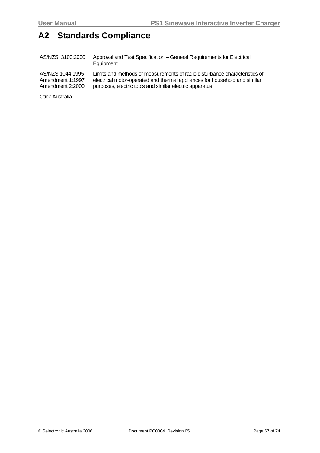## **A2 Standards Compliance**

AS/NZS 3100:2000 Approval and Test Specification – General Requirements for Electrical **Equipment** 

AS/NZS 1044:1995 Amendment 1:1997 Amendment 2:2000 Limits and methods of measurements of radio disturbance characteristics of electrical motor-operated and thermal appliances for household and similar purposes, electric tools and similar electric apparatus.

Ctick Australia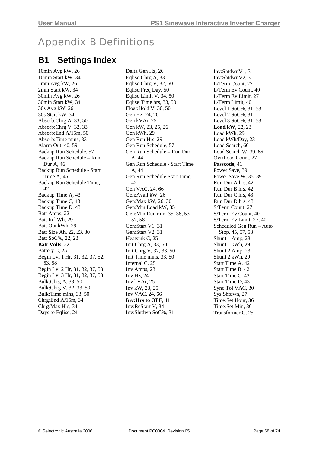# Appendix B Definitions

## **B1 Settings Index**

10min Avg kW, 26 10min Start kW, 34 2min Avg kW, 26 2min Start kW, 34 30min Avg kW, 26 30min Start kW, 34 30s Avg kW, 26 30s Start kW, 34 Absorb:Chrg A, 33, 50 Absorb:Chrg V, 32, 33 Absorb:End A/15m, 50 Absorb:Time mins, 33 Alarm Out, 40, 59 Backup Run Schedule, 57 Backup Run Schedule – Run Dur A, 46 Backup Run Schedule - Start Time A, 45 Backup Run Schedule Time, 42 Backup Time A, 43 Backup Time C, 43 Backup Time D, 43 Batt Amps, 22 Batt In kWh, 29 Batt Out kWh, 29 Batt Size Ah, 22, 23, 30 Batt SoC%, 22, 23 **Batt Volts**, 22 Battery C, 25 Begin Lvl 1 Hr, 31, 32, 37, 52, 53, 58 Begin Lvl 2 Hr, 31, 32, 37, 53 Begin Lvl 3 Hr, 31, 32, 37, 53 Bulk:Chrg A, 33, 50 Bulk:Chrg V, 32, 33, 50 Bulk:Time mins, 33, 50 Chrg:End A/15m, 34 Chrg:Max Hrs, 34 Days to Eqlise, 24

Delta Gen Hz, 26 Eqlise:Chrg A, 33 Eqlise:Chrg V, 32, 50 Eqlise:Freq Day, 50 Eqlise:Limit V, 34, 50 Eqlise:Time hrs, 33, 50 Float:Hold V, 30, 50 Gen Hz, 24, 26 Gen kVAr, 25 Gen kW, 23, 25, 26 Gen kWh, 29 Gen Run Hrs, 29 Gen Run Schedule, 57 Gen Run Schedule – Run Dur A, 44 Gen Run Schedule - Start Time A 44 Gen Run Schedule Start Time, 42 Gen VAC, 24, 66 Gen:Avail kW, 26 Gen:Max kW, 26, 30 Gen:Min Load kW, 35 Gen:Min Run min, 35, 38, 53, 57, 58 Gen:Start V1, 31 Gen:Start V2, 31 Heatsink C, 25 Init:Chrg A, 33, 50 Init:Chrg V, 32, 33, 50 Init:Time mins, 33, 50 Internal C, 25 Inv Amps, 23 Inv Hz, 24 Inv kVAr, 25 Inv kW, 23, 25 Inv VAC, 24, 66 **Inv:Hrs to OFF**, 41 Inv:ReStart V, 34 Inv:Shtdwn SoC%, 31

Inv:ShtdwnV1, 31 Inv:ShtdwnV2, 31 L/Term Count, 27 L/Term Ev Count, 40 L/Term Ev Limit, 27 L/Term Limit, 40 Level 1 SoC%, 31, 53 Level 2 SoC%, 31 Level 3 SoC%, 31, 53 **Load kW**, 22, 23 Load kWh, 29 Load kWh/Day, 23 Load Search, 66 Load Search W, 39, 66 Ovr/Load Count, 27 **Passcode**, 41 Power Save, 39 Power Save W, 35, 39 Run Dur A hrs, 42 Run Dur B hrs, 42 Run Dur C hrs, 43 Run Dur D hrs, 43 S/Term Count, 27 S/Term Ev Count, 40 S/Term Ev Limit, 27, 40 Scheduled Gen Run – Auto Stop, 45, 57, 58 Shunt 1 Amp, 23 Shunt 1 kWh, 29 Shunt 2 Amp, 23 Shunt 2 kWh, 29 Start Time A, 42 Start Time B, 42 Start Time C, 43 Start Time D, 43 Sync Tol VAC, 30 Sys Shtdwn, 27 Time:Set Hour, 36 Time:Set Min, 36 Transformer C, 25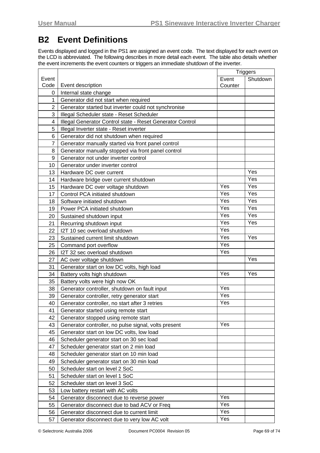## <span id="page-68-0"></span>**B2 Event Definitions**

Events displayed and logged in the PS1 are assigned an event code. The text displayed for each event on the LCD is abbreviated. The following describes in more detail each event. The table also details whether the event increments the event counters or triggers an immediate shutdown of the inverter.

|                |                                                           |         | <b>Triggers</b> |
|----------------|-----------------------------------------------------------|---------|-----------------|
| Event          |                                                           | Event   | Shutdown        |
| Code           | Event description                                         | Counter |                 |
| 0              | Internal state change                                     |         |                 |
| $\mathbf 1$    | Generator did not start when required                     |         |                 |
| 2              | Generator started but inverter could not synchronise      |         |                 |
| 3              | Illegal Scheduler state - Reset Scheduler                 |         |                 |
| 4              | Illegal Generator Control state - Reset Generator Control |         |                 |
| 5              | Illegal Inverter state - Reset inverter                   |         |                 |
| 6              | Generator did not shutdown when required                  |         |                 |
| $\overline{7}$ | Generator manually started via front panel control        |         |                 |
| 8              | Generator manually stopped via front panel control        |         |                 |
| 9              | Generator not under inverter control                      |         |                 |
| 10             | Generator under inverter control                          |         |                 |
| 13             | Hardware DC over current                                  |         | Yes             |
| 14             | Hardware bridge over current shutdown                     |         | Yes             |
| 15             | Hardware DC over voltage shutdown                         | Yes     | Yes             |
| 17             | Control PCA initiated shutdown                            | Yes     | Yes             |
| 18             | Software initiated shutdown                               | Yes     | Yes             |
| 19             | Power PCA initiated shutdown                              | Yes     | Yes             |
| 20             | Sustained shutdown input                                  | Yes     | Yes             |
| 21             | Recurring shutdown input                                  | Yes     | Yes             |
| 22             | I2T 10 sec overload shutdown                              | Yes     |                 |
| 23             | Sustained current limit shutdown                          | Yes     | Yes             |
| 25             | Command port overflow                                     | Yes     |                 |
| 26             | I2T 32 sec overload shutdown                              | Yes     |                 |
| 27             | AC over voltage shutdown                                  |         | Yes             |
| 31             | Generator start on low DC volts, high load                |         |                 |
| 34             | Battery volts high shutdown                               | Yes     | Yes             |
| 35             | Battery volts were high now OK                            |         |                 |
| 38             | Generator controller, shutdown on fault input             | Yes     |                 |
| 39             | Generator controller, retry generator start               | Yes     |                 |
| 40             | Generator controller, no start after 3 retries            | Yes     |                 |
| 41             | Generator started using remote start                      |         |                 |
| 42             | Generator stopped using remote start                      |         |                 |
| 43             | Generator controller, no pulse signal, volts present      | Yes     |                 |
| 45             | Generator start on low DC volts, low load                 |         |                 |
| 46             | Scheduler generator start on 30 sec load                  |         |                 |
| 47             | Scheduler generator start on 2 min load                   |         |                 |
| 48             | Scheduler generator start on 10 min load                  |         |                 |
| 49             | Scheduler generator start on 30 min load                  |         |                 |
| 50             | Scheduler start on level 2 SoC                            |         |                 |
| 51             | Scheduler start on level 1 SoC                            |         |                 |
| 52             | Scheduler start on level 3 SoC                            |         |                 |
| 53             | Low battery restart with AC volts                         |         |                 |
| 54             | Generator disconnect due to reverse power                 | Yes     |                 |
| 55             | Generator disconnect due to bad ACV or Freq               | Yes     |                 |
| 56             | Generator disconnect due to current limit                 | Yes     |                 |
| 57             | Generator disconnect due to very low AC volt              | Yes     |                 |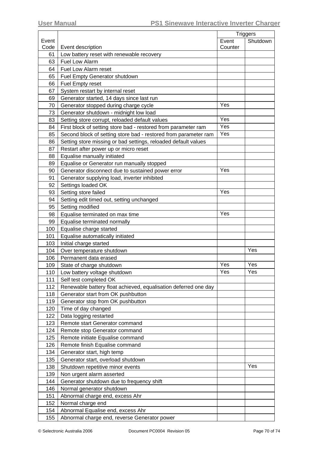|       |                                                                 | <b>Triggers</b> |          |
|-------|-----------------------------------------------------------------|-----------------|----------|
| Event |                                                                 | Event           | Shutdown |
| Code  | Event description                                               | Counter         |          |
| 61    | Low battery reset with renewable recovery                       |                 |          |
| 63    | <b>Fuel Low Alarm</b>                                           |                 |          |
| 64    | Fuel Low Alarm reset                                            |                 |          |
| 65    | Fuel Empty Generator shutdown                                   |                 |          |
| 66    | Fuel Empty reset                                                |                 |          |
| 67    | System restart by internal reset                                |                 |          |
| 69    | Generator started, 14 days since last run                       |                 |          |
| 70    | Generator stopped during charge cycle                           | Yes             |          |
| 73    | Generator shutdown - midnight low load                          |                 |          |
| 83    | Setting store corrupt, reloaded default values                  | Yes             |          |
| 84    | First block of setting store bad - restored from parameter ram  | Yes             |          |
| 85    | Second block of setting store bad - restored from parameter ram | Yes             |          |
| 86    | Setting store missing or bad settings, reloaded default values  |                 |          |
| 87    | Restart after power up or micro reset                           |                 |          |
| 88    | Equalise manually initiated                                     |                 |          |
| 89    | Equalise or Generator run manually stopped                      |                 |          |
| 90    | Generator disconnect due to sustained power error               | Yes             |          |
| 91    | Generator supplying load, inverter inhibited                    |                 |          |
| 92    | Settings loaded OK                                              |                 |          |
| 93    | Setting store failed                                            | Yes             |          |
| 94    | Setting edit timed out, setting unchanged                       |                 |          |
| 95    | Setting modified                                                |                 |          |
| 98    | Equalise terminated on max time                                 | Yes             |          |
| 99    | Equalise terminated normally                                    |                 |          |
| 100   | Equalise charge started                                         |                 |          |
| 101   | Equalise automatically initiated                                |                 |          |
| 103   | Initial charge started                                          |                 |          |
| 104   | Over temperature shutdown                                       |                 | Yes      |
| 106   | Permanent data erased                                           |                 |          |
| 109   | State of charge shutdown                                        | Yes             | Yes      |
| 110   | Low battery voltage shutdown                                    | Yes             | Yes      |
| 111   | Self test completed OK                                          |                 |          |
| 112   | Renewable battery float achieved, equalisation deferred one day |                 |          |
| 118   | Generator start from OK pushbutton                              |                 |          |
| 119   | Generator stop from OK pushbutton                               |                 |          |
| 120   | Time of day changed                                             |                 |          |
| 122   | Data logging restarted                                          |                 |          |
| 123   | Remote start Generator command                                  |                 |          |
| 124   | Remote stop Generator command                                   |                 |          |
| 125   | Remote initiate Equalise command                                |                 |          |
| 126   | Remote finish Equalise command                                  |                 |          |
| 134   | Generator start, high temp                                      |                 |          |
| 135   | Generator start, overload shutdown                              |                 |          |
| 138   | Shutdown repetitive minor events                                |                 | Yes      |
| 139   | Non urgent alarm asserted                                       |                 |          |
| 144   | Generator shutdown due to frequency shift                       |                 |          |
| 146   | Normal generator shutdown                                       |                 |          |
| 151   | Abnormal charge end, excess Ahr                                 |                 |          |
| 152   | Normal charge end                                               |                 |          |
| 154   | Abnormal Equalise end, excess Ahr                               |                 |          |
| 155   | Abnormal charge end, reverse Generator power                    |                 |          |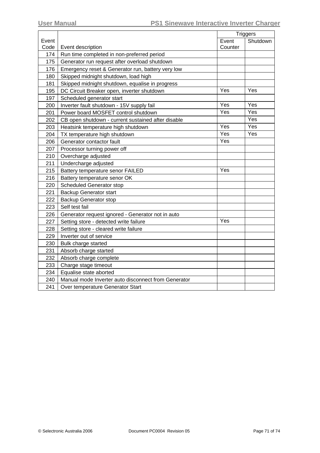|       |                                                     | <b>Triggers</b> |          |
|-------|-----------------------------------------------------|-----------------|----------|
| Event |                                                     | Event           | Shutdown |
| Code  | Event description                                   | Counter         |          |
| 174   | Run time completed in non-preferred period          |                 |          |
| 175   | Generator run request after overload shutdown       |                 |          |
| 176   | Emergency reset & Generator run, battery very low   |                 |          |
| 180   | Skipped midnight shutdown, load high                |                 |          |
| 181   | Skipped midnight shutdown, equalise in progress     |                 |          |
| 195   | DC Circuit Breaker open, inverter shutdown          | Yes             | Yes      |
| 197   | Scheduled generator start                           |                 |          |
| 200   | Inverter fault shutdown - 15V supply fail           | Yes             | Yes      |
| 201   | Power board MOSFET control shutdown                 | Yes             | Yes      |
| 202   | CB open shutdown - current sustained after disable  |                 | Yes      |
| 203   | Heatsink temperature high shutdown                  | Yes             | Yes      |
| 204   | TX temperature high shutdown                        | Yes             | Yes      |
| 206   | Generator contactor fault                           | Yes             |          |
| 207   | Processor turning power off                         |                 |          |
| 210   | Overcharge adjusted                                 |                 |          |
| 211   | Undercharge adjusted                                |                 |          |
| 215   | Battery temperature senor FAILED                    | Yes             |          |
| 216   | Battery temperature senor OK                        |                 |          |
| 220   | <b>Scheduled Generator stop</b>                     |                 |          |
| 221   | <b>Backup Generator start</b>                       |                 |          |
| 222   | <b>Backup Generator stop</b>                        |                 |          |
| 223   | Self test fail                                      |                 |          |
| 226   | Generator request ignored - Generator not in auto   |                 |          |
| 227   | Setting store - detected write failure              | Yes             |          |
| 228   | Setting store - cleared write failure               |                 |          |
| 229   | Inverter out of service                             |                 |          |
| 230   | Bulk charge started                                 |                 |          |
| 231   | Absorb charge started                               |                 |          |
| 232   | Absorb charge complete                              |                 |          |
| 233   | Charge stage timeout                                |                 |          |
| 234   | Equalise state aborted                              |                 |          |
| 240   | Manual mode Inverter auto disconnect from Generator |                 |          |
| 241   | Over temperature Generator Start                    |                 |          |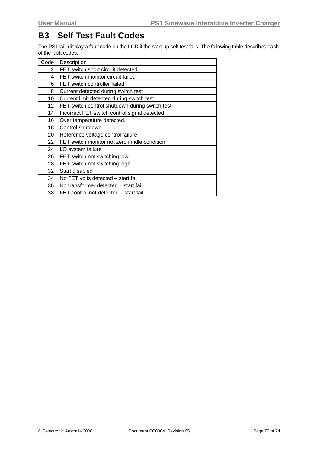## **B3 Self Test Fault Codes**

The PS1 will display a fault code on the LCD if the start-up self test fails. The following table describes each of the fault codes.

| Code | Description                                    |
|------|------------------------------------------------|
| 2    | FET switch short circuit detected              |
| 4    | FET switch monitor circuit failed              |
| 6    | FET switch controller failed                   |
| 8    | Current detected during switch test            |
| 10   | Current limit detected during switch test      |
| 12   | FET switch control shutdown during switch test |
| 14   | Incorrect FET switch control signal detected   |
| 16   | Over temperature detected.                     |
| 18   | Control shutdown                               |
| 20   | Reference voltage control failure              |
| 22   | FET switch monitor not zero in idle condition  |
| 24   | I/O system failure                             |
| 26   | FET switch not switching low                   |
| 28   | FET switch not switching high                  |
| 32   | Start disabled                                 |
| 34   | No FET volts detected – start fail             |
| 36   | No transformer detected – start fail           |
| 38   | FET control not detected – start fail          |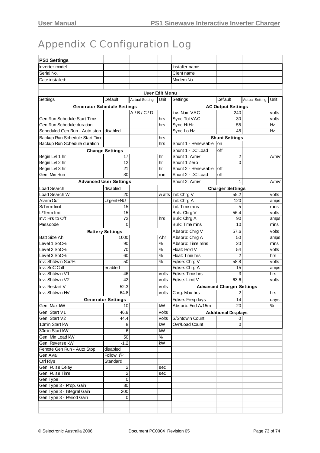## Appendix C Configuration Log

| <b>PS1 Settings</b>                                        |                               |                       |                           |                            |                                  |                       |       |  |  |
|------------------------------------------------------------|-------------------------------|-----------------------|---------------------------|----------------------------|----------------------------------|-----------------------|-------|--|--|
| Inverter model                                             |                               |                       |                           | Installer name             |                                  |                       |       |  |  |
| Serial No.                                                 |                               |                       |                           | Client name                |                                  |                       |       |  |  |
| Date installed:                                            |                               |                       |                           | Modem No                   |                                  |                       |       |  |  |
|                                                            |                               |                       |                           |                            |                                  |                       |       |  |  |
| <b>User Edit Menu</b>                                      |                               |                       |                           |                            |                                  |                       |       |  |  |
| Settings                                                   | Default                       | <b>Actual Setting</b> | Unit                      | Settings                   | Default                          |                       | Unit  |  |  |
|                                                            |                               |                       |                           |                            |                                  | <b>Actual Setting</b> |       |  |  |
| <b>Generator Schedule Settings</b>                         |                               |                       | <b>AC Output Settings</b> |                            |                                  |                       |       |  |  |
| Gen Run Schedule Start Time                                |                               | A/B/C/D               |                           | Inv: Nom VAC               | 240                              |                       | volts |  |  |
|                                                            |                               |                       | hrs                       | Sync Tol VAC               | 30<br>55                         |                       | volts |  |  |
| Gen Run Schedule duration<br>Scheduled Gen Run - Auto stop | disabled                      |                       | hrs                       | Sync Hi Hz                 | 48                               |                       | Ηz    |  |  |
|                                                            |                               |                       |                           | Sync Lo Hz                 |                                  |                       | Ηz    |  |  |
| Backup Run Schedule Start Time                             |                               |                       | hrs                       |                            | <b>Shunt Settings</b>            |                       |       |  |  |
| Backup Run Schedule duration<br>hrs                        |                               |                       |                           | Shunt 1 - Renew able<br>on |                                  |                       |       |  |  |
|                                                            | <b>Change Settings</b>        |                       |                           | Shunt 1 - DC Load          | off                              |                       |       |  |  |
| Begin Lvl 1 hr                                             | 17                            |                       | hr                        | Shunt 1: A/mV              | 2                                |                       | A/mV  |  |  |
| Begin Lvl 2 hr                                             | 12                            |                       | hr                        | Shunt 1 Zero               | 0                                |                       |       |  |  |
| Begin LvI 3 hr                                             | 21                            |                       | hr                        | Shunt 2 - Renew able       | off                              |                       |       |  |  |
| Gen: Min Run                                               | 30                            |                       | min                       | Shunt 2 - DC Load          | off                              |                       |       |  |  |
|                                                            | <b>Advanced User Settings</b> |                       |                           | Shunt 2: A/mV              | 1                                |                       | A/mV  |  |  |
| Load Search                                                | disabled                      |                       |                           |                            | <b>Charger Settings</b>          |                       |       |  |  |
| Load Search W                                              | 20                            |                       | w atts                    | Init: Chrg V               | 55.2                             |                       | volts |  |  |
| Alarm Out                                                  | Urgent+NU                     |                       |                           | Init: Chrg A               | 120                              |                       | amps  |  |  |
| S/Term limit                                               | 15                            |                       |                           | Init: Time mins            | 5                                |                       | mins  |  |  |
| L/Term limit                                               | 15                            |                       |                           | Bulk: Chrg V               | 56.4                             |                       | volts |  |  |
| Inv: Hrs to Off                                            | 72                            |                       | hrs                       | Bulk: Chrg A               | 90                               |                       | amps  |  |  |
| Passcode                                                   | 0                             |                       |                           | Bulk: Time mins            | 10                               |                       | mins  |  |  |
| <b>Battery Settings</b>                                    |                               |                       |                           | Absorb: Chrg V             | 57.6                             |                       | volts |  |  |
| <b>Batt Size Ah</b>                                        | 1000                          |                       | Ahr                       | Absorb: Chrg A             | 50                               |                       | amps  |  |  |
| Level 1 SoC%                                               | 90                            |                       | %                         | Absorb: Time mins          | 20                               |                       | mins  |  |  |
| Level 2 SoC%                                               | 70                            |                       | %                         | Float: Hold V              | 54                               |                       | volts |  |  |
| Level 3 SoC%                                               | 60                            |                       | %                         | Float: Time hrs            | $\overline{2}$                   |                       | hrs   |  |  |
| Inv: Shtdwn Soc%                                           | 50                            |                       | %                         | Eqlise: Chrg V             | 58.8                             |                       | volts |  |  |
| Inv: SoC Cntl                                              | enabled                       |                       |                           | Eqlise: Chrg A             | 15                               |                       | amps  |  |  |
| Inv: Shtdwn V1                                             | 46                            |                       | volts                     | Eqlise: Time hrs           | 3                                |                       | hrs   |  |  |
| Inv: Shtdwn V2                                             | 42                            |                       | volts                     | Eqlise: Limit V            | 63.6                             |                       | volts |  |  |
| Inv: Restart V                                             | 52.3                          |                       | volts                     |                            | <b>Advanced Charger Settings</b> |                       |       |  |  |
| Inv: Shtdwn HV                                             | 64.8                          |                       | volts                     | Chrg: Max hrs              | 2                                |                       | hrs   |  |  |
|                                                            | <b>Generator Settings</b>     |                       |                           | Eqlise: Freq days          | 14                               |                       | days  |  |  |
| Gen: Max kW                                                | 10                            |                       | kW                        | Absorb: End A/15m          | $\overline{20}$                  |                       | %     |  |  |
| Gen: Start V1                                              | 46.8                          |                       | volts                     |                            | <b>Additional Displays</b>       |                       |       |  |  |
| Gen: Start V2                                              | 44.4                          |                       | volts                     | S/Shtdwn Count             | 0                                |                       |       |  |  |
| 10min Start kW                                             | 8                             |                       | kW                        | Ovr/Load Count             | 0                                |                       |       |  |  |
| 30min Start kW                                             | 6                             |                       | kW                        |                            |                                  |                       |       |  |  |
| Gen: Min Load kW                                           | 50                            |                       | $\%$                      |                            |                                  |                       |       |  |  |
| Gen: Reverse kW                                            | $-1.2$                        |                       | kW                        |                            |                                  |                       |       |  |  |
| Remote Gen Run - Auto Stop                                 | disabled                      |                       |                           |                            |                                  |                       |       |  |  |
| Gen Avail                                                  | Follow VP                     |                       |                           |                            |                                  |                       |       |  |  |
| <b>Ctrl Riys</b>                                           | Standard                      |                       |                           |                            |                                  |                       |       |  |  |
| Gen: Pulse Delay                                           | $\boldsymbol{2}$              |                       | sec                       |                            |                                  |                       |       |  |  |
| Gen: Pulse Time                                            | $\overline{2}$                |                       | sec                       |                            |                                  |                       |       |  |  |
| Gen Type                                                   | 0                             |                       |                           |                            |                                  |                       |       |  |  |
| Gen Type 3 - Prop. Gain                                    | 80                            |                       |                           |                            |                                  |                       |       |  |  |
| Gen Type 3 - Integral Gain                                 | 200                           |                       |                           |                            |                                  |                       |       |  |  |
| Gen Type 3 - Period Gain                                   | 0                             |                       |                           |                            |                                  |                       |       |  |  |
|                                                            |                               |                       |                           |                            |                                  |                       |       |  |  |
|                                                            |                               |                       |                           |                            |                                  |                       |       |  |  |